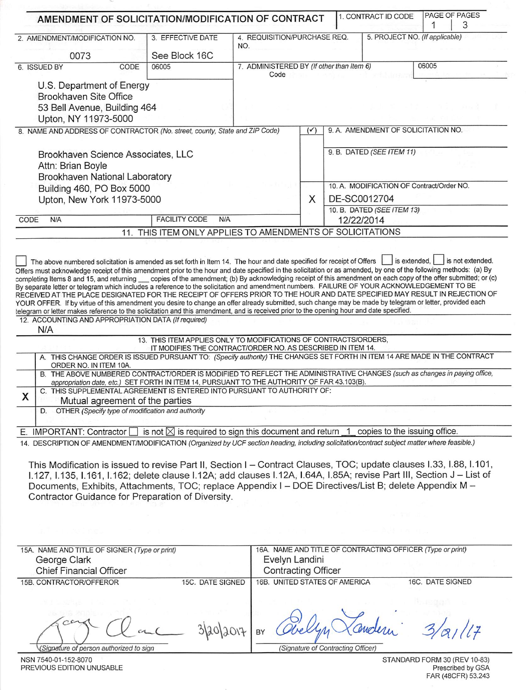| 2. AMENDMENT/MODIFICATION NO.                                                                                                                                                                                                                                                                                                                                                                                                                                                                                                                                                                                                                                                                                                                                                                                                                                                                                                                                                                                                                                                                                                                                    | 3. EFFECTIVE DATE                                                                                     | 4. REQUISITION/PURCHASE REQ.                               |               |                                           |                           | 5. PROJECT NO. (If applicable)      |
|------------------------------------------------------------------------------------------------------------------------------------------------------------------------------------------------------------------------------------------------------------------------------------------------------------------------------------------------------------------------------------------------------------------------------------------------------------------------------------------------------------------------------------------------------------------------------------------------------------------------------------------------------------------------------------------------------------------------------------------------------------------------------------------------------------------------------------------------------------------------------------------------------------------------------------------------------------------------------------------------------------------------------------------------------------------------------------------------------------------------------------------------------------------|-------------------------------------------------------------------------------------------------------|------------------------------------------------------------|---------------|-------------------------------------------|---------------------------|-------------------------------------|
| 0073                                                                                                                                                                                                                                                                                                                                                                                                                                                                                                                                                                                                                                                                                                                                                                                                                                                                                                                                                                                                                                                                                                                                                             | See Block 16C                                                                                         | NO.                                                        |               |                                           |                           |                                     |
| 6. ISSUED BY<br>CODE                                                                                                                                                                                                                                                                                                                                                                                                                                                                                                                                                                                                                                                                                                                                                                                                                                                                                                                                                                                                                                                                                                                                             | 06005                                                                                                 | 06005<br>7. ADMINISTERED BY (If other than Item 6)<br>Code |               |                                           |                           |                                     |
| U.S. Department of Energy<br>Brookhaven Site Office<br>53 Bell Avenue, Building 464<br>Upton, NY 11973-5000                                                                                                                                                                                                                                                                                                                                                                                                                                                                                                                                                                                                                                                                                                                                                                                                                                                                                                                                                                                                                                                      |                                                                                                       |                                                            |               |                                           |                           |                                     |
| 8. NAME AND ADDRESS OF CONTRACTOR (No. street, county, State and ZIP Code)                                                                                                                                                                                                                                                                                                                                                                                                                                                                                                                                                                                                                                                                                                                                                                                                                                                                                                                                                                                                                                                                                       |                                                                                                       |                                                            | $(\check{y})$ |                                           |                           | 9. A. AMENDMENT OF SOLICITATION NO. |
| Brookhaven Science Associates, LLC<br>Attn: Brian Boyle<br>Brookhaven National Laboratory                                                                                                                                                                                                                                                                                                                                                                                                                                                                                                                                                                                                                                                                                                                                                                                                                                                                                                                                                                                                                                                                        |                                                                                                       |                                                            |               |                                           | 9. B. DATED (SEE ITEM 11) |                                     |
| Building 460, PO Box 5000                                                                                                                                                                                                                                                                                                                                                                                                                                                                                                                                                                                                                                                                                                                                                                                                                                                                                                                                                                                                                                                                                                                                        |                                                                                                       |                                                            |               | 10. A. MODIFICATION OF Contract/Order NO. |                           |                                     |
| Upton, New York 11973-5000                                                                                                                                                                                                                                                                                                                                                                                                                                                                                                                                                                                                                                                                                                                                                                                                                                                                                                                                                                                                                                                                                                                                       |                                                                                                       |                                                            | X             |                                           | DE-SC0012704              |                                     |
|                                                                                                                                                                                                                                                                                                                                                                                                                                                                                                                                                                                                                                                                                                                                                                                                                                                                                                                                                                                                                                                                                                                                                                  | <b>FACILITY CODE</b><br>N/A                                                                           |                                                            |               | 10. B. DATED (SEE ITEM 13)                |                           |                                     |
| CODE<br>N/A                                                                                                                                                                                                                                                                                                                                                                                                                                                                                                                                                                                                                                                                                                                                                                                                                                                                                                                                                                                                                                                                                                                                                      | 11. THIS ITEM ONLY APPLIES TO AMENDMENTS OF SOLICITATIONS                                             |                                                            |               | 12/22/2014                                |                           |                                     |
| The above numbered solicitation is amended as set forth in Item 14. The hour and date specified for receipt of Offers                                                                                                                                                                                                                                                                                                                                                                                                                                                                                                                                                                                                                                                                                                                                                                                                                                                                                                                                                                                                                                            |                                                                                                       |                                                            |               |                                           |                           | is extended,                        |
|                                                                                                                                                                                                                                                                                                                                                                                                                                                                                                                                                                                                                                                                                                                                                                                                                                                                                                                                                                                                                                                                                                                                                                  |                                                                                                       |                                                            |               |                                           |                           |                                     |
| N/A                                                                                                                                                                                                                                                                                                                                                                                                                                                                                                                                                                                                                                                                                                                                                                                                                                                                                                                                                                                                                                                                                                                                                              | 13. THIS ITEM APPLIES ONLY TO MODIFICATIONS OF CONTRACTS/ORDERS.                                      |                                                            |               |                                           |                           | is not extended.                    |
|                                                                                                                                                                                                                                                                                                                                                                                                                                                                                                                                                                                                                                                                                                                                                                                                                                                                                                                                                                                                                                                                                                                                                                  | IT MODIFIES THE CONTRACT/ORDER NO. AS DESCRIBED IN ITEM 14.                                           |                                                            |               |                                           |                           |                                     |
| A. THIS CHANGE ORDER IS ISSUED PURSUANT TO: (Specify authority) THE CHANGES SET FORTH IN ITEM 14 ARE MADE IN THE CONTRACT<br>ORDER NO. IN ITEM 10A.                                                                                                                                                                                                                                                                                                                                                                                                                                                                                                                                                                                                                                                                                                                                                                                                                                                                                                                                                                                                              |                                                                                                       |                                                            |               |                                           |                           |                                     |
| B. THE ABOVE NUMBERED CONTRACT/ORDER IS MODIFIED TO REFLECT THE ADMINISTRATIVE CHANGES (such as changes in paying office,<br>appropriation date, etc.) SET FORTH IN ITEM 14, PURSUANT TO THE AUTHORITY OF FAR 43.103(B).                                                                                                                                                                                                                                                                                                                                                                                                                                                                                                                                                                                                                                                                                                                                                                                                                                                                                                                                         |                                                                                                       |                                                            |               |                                           |                           |                                     |
| C. THIS SUPPLEMENTAL AGREEMENT IS ENTERED INTO PURSUANT TO AUTHORITY OF:                                                                                                                                                                                                                                                                                                                                                                                                                                                                                                                                                                                                                                                                                                                                                                                                                                                                                                                                                                                                                                                                                         |                                                                                                       |                                                            |               |                                           |                           |                                     |
| Mutual agreement of the parties                                                                                                                                                                                                                                                                                                                                                                                                                                                                                                                                                                                                                                                                                                                                                                                                                                                                                                                                                                                                                                                                                                                                  |                                                                                                       |                                                            |               |                                           |                           |                                     |
| OTHER (Specify type of modification and authority<br>D.                                                                                                                                                                                                                                                                                                                                                                                                                                                                                                                                                                                                                                                                                                                                                                                                                                                                                                                                                                                                                                                                                                          |                                                                                                       |                                                            |               |                                           |                           |                                     |
|                                                                                                                                                                                                                                                                                                                                                                                                                                                                                                                                                                                                                                                                                                                                                                                                                                                                                                                                                                                                                                                                                                                                                                  | is not $\boxtimes$ is required to sign this document and return $\perp$ copies to the issuing office. |                                                            |               |                                           |                           |                                     |
| Offers must acknowledge receipt of this amendment prior to the hour and date specified in the solicitation or as amended, by one of the following methods: (a) By<br>completing Items 8 and 15, and returning __ copies of the amendment; (b) By acknowledging receipt of this amendment on each copy of the offer submitted; or (c)<br>By separate letter or telegram which includes a reference to the solicitation and amendment numbers. FAILURE OF YOUR ACKNOWLEDGEMENT TO BE<br>RECEIVED AT THE PLACE DESIGNATED FOR THE RECEIPT OF OFFERS PRIOR TO THE HOUR AND DATE SPECIFIED MAY RESULT IN REJECTION OF<br>YOUR OFFER. If by virtue of this amendment you desire to change an offer already submitted, such change may be made by telegram or letter, provided each<br>lelegram or letter makes reference to the solicitation and this amendment, and is received prior to the opening hour and date specified.<br>12. ACCOUNTING AND APPROPRIATION DATA (If required)<br>х<br>E. IMPORTANT: Contractor<br>14. DESCRIPTION OF AMENDMENT/MODIFICATION (Organized by UCF section heading, including solicitation/contract subject matter where feasible.) |                                                                                                       |                                                            |               |                                           |                           |                                     |

| 15A. NAME AND TITLE OF SIGNER (Type or print)<br>George Clark<br><b>Chief Financial Officer</b> |                  | 16A. NAME AND TITLE OF CONTRACTING OFFICER (Type or print)<br>Evelyn Landini<br><b>Contracting Officer</b> |
|-------------------------------------------------------------------------------------------------|------------------|------------------------------------------------------------------------------------------------------------|
| 15B. CONTRACTOR/OFFEROR                                                                         | 15C. DATE SIGNED | 16B. UNITED STATES OF AMERICA<br>16C. DATE SIGNED                                                          |
| (Signature of person authorized to sign                                                         |                  | audern<br>BY<br>(Signature of Contracting Officer)                                                         |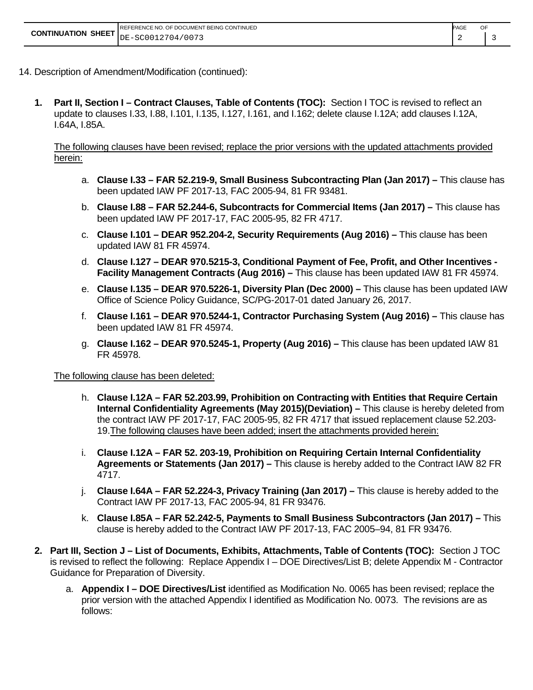|                           | REFERENCE NO. OF DOCUMENT BEING CONTINUED | <b>PAGE</b><br>~- |  |
|---------------------------|-------------------------------------------|-------------------|--|
| <b>CONTINUATION SHEET</b> | DE-SC0012704/0073                         |                   |  |

- 14. Description of Amendment/Modification (continued):
	- **1. Part II, Section I – Contract Clauses, Table of Contents (TOC):** Section I TOC is revised to reflect an update to clauses I.33, I.88, I.101, I.135, I.127, I.161, and I.162; delete clause I.12A; add clauses I.12A, I.64A, I.85A.

The following clauses have been revised; replace the prior versions with the updated attachments provided herein:

- a. **Clause I.33 – FAR 52.219-9, Small Business Subcontracting Plan (Jan 2017) –** This clause has been updated IAW PF 2017-13, FAC 2005-94, 81 FR 93481.
- b. **Clause I.88 – FAR 52.244-6, Subcontracts for Commercial Items (Jan 2017) –** This clause has been updated IAW PF 2017-17, FAC 2005-95, 82 FR 4717.
- c. **Clause I.101 – DEAR 952.204-2, Security Requirements (Aug 2016) –** This clause has been updated IAW 81 FR 45974.
- d. **Clause I.127 – DEAR 970.5215-3, Conditional Payment of Fee, Profit, and Other Incentives - Facility Management Contracts (Aug 2016) –** This clause has been updated IAW 81 FR 45974.
- e. **Clause I.135 – DEAR 970.5226-1, Diversity Plan (Dec 2000) –** This clause has been updated IAW Office of Science Policy Guidance, SC/PG-2017-01 dated January 26, 2017.
- f. **Clause I.161 – DEAR 970.5244-1, Contractor Purchasing System (Aug 2016) –** This clause has been updated IAW 81 FR 45974.
- g. **Clause I.162 – DEAR 970.5245-1, Property (Aug 2016) –** This clause has been updated IAW 81 FR 45978.

The following clause has been deleted:

- h. **Clause I.12A – FAR 52.203.99, Prohibition on Contracting with Entities that Require Certain Internal Confidentiality Agreements (May 2015)(Deviation) –** This clause is hereby deleted from the contract IAW PF 2017-17, FAC 2005-95, 82 FR 4717 that issued replacement clause 52.203- 19.The following clauses have been added; insert the attachments provided herein:
- i. **Clause I.12A – FAR 52. 203-19, Prohibition on Requiring Certain Internal Confidentiality Agreements or Statements (Jan 2017) –** This clause is hereby added to the Contract IAW 82 FR 4717.
- j. **Clause I.64A – FAR 52.224-3, Privacy Training (Jan 2017) –** This clause is hereby added to the Contract IAW PF 2017-13, FAC 2005-94, 81 FR 93476.
- k. **Clause I.85A – FAR 52.242-5, Payments to Small Business Subcontractors (Jan 2017) –** This clause is hereby added to the Contract IAW PF 2017-13, FAC 2005–94, 81 FR 93476.
- **2. Part III, Section J – List of Documents, Exhibits, Attachments, Table of Contents (TOC):** Section J TOC is revised to reflect the following: Replace Appendix I – DOE Directives/List B; delete Appendix M - Contractor Guidance for Preparation of Diversity.
	- a. **Appendix I – DOE Directives/List** identified as Modification No. 0065 has been revised; replace the prior version with the attached Appendix I identified as Modification No. 0073. The revisions are as follows: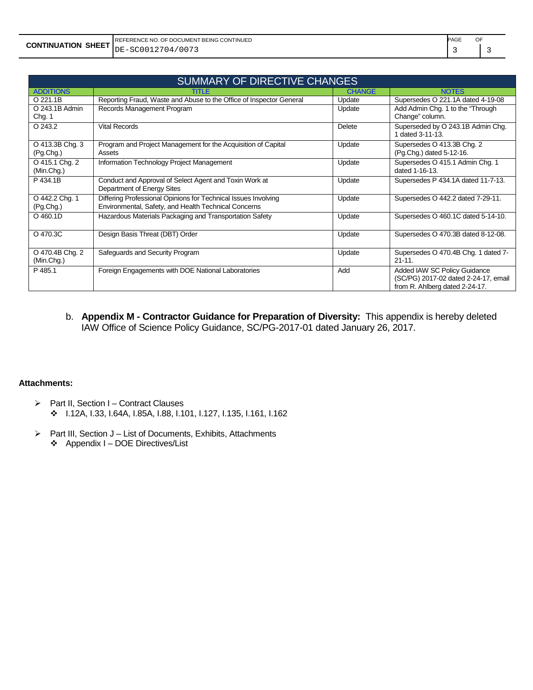| REFERENCE NO. OF DOCUMENT BEING CONTINUED                    |
|--------------------------------------------------------------|
| CONTINUATION SHEET $\Big _{\rm DE-SC0012704/0073}^{\bullet}$ |

| SUMMARY OF DIRECTIVE CHANGES  |                                                                                                                        |               |                                                                                                        |  |  |  |
|-------------------------------|------------------------------------------------------------------------------------------------------------------------|---------------|--------------------------------------------------------------------------------------------------------|--|--|--|
| <b>ADDITIONS</b>              | TITI F                                                                                                                 | <b>CHANGE</b> | <b>NOTES</b>                                                                                           |  |  |  |
| O 221.1B                      | Reporting Fraud, Waste and Abuse to the Office of Inspector General                                                    | Update        | Supersedes O 221.1A dated 4-19-08                                                                      |  |  |  |
| O 243.1B Admin<br>Chg. 1      | Records Management Program                                                                                             | Update        | Add Admin Chg. 1 to the "Through"<br>Change" column.                                                   |  |  |  |
| $O$ 243.2                     | <b>Vital Records</b>                                                                                                   | Delete        | Superseded by O 243.1B Admin Chg.<br>1 dated 3-11-13.                                                  |  |  |  |
| O 413.3B Chg. 3<br>(Pg.Chg.)  | Program and Project Management for the Acquisition of Capital<br>Assets                                                | Update        | Supersedes O 413.3B Chg. 2<br>(Pg.Chg.) dated 5-12-16.                                                 |  |  |  |
| O 415.1 Chg. 2<br>(Min.Chg.)  | Information Technology Project Management                                                                              | Update        | Supersedes O 415.1 Admin Chg. 1<br>dated 1-16-13.                                                      |  |  |  |
| P434.1B                       | Conduct and Approval of Select Agent and Toxin Work at<br>Department of Energy Sites                                   | Update        | Supersedes P 434.1A dated 11-7-13.                                                                     |  |  |  |
| O 442.2 Chg. 1<br>(Pg.Chg.)   | Differing Professional Opinions for Technical Issues Involving<br>Environmental, Safety, and Health Technical Concerns | Update        | Supersedes O 442.2 dated 7-29-11.                                                                      |  |  |  |
| $O$ 460.1D                    | Hazardous Materials Packaging and Transportation Safety                                                                | Update        | Supersedes O 460.1C dated 5-14-10.                                                                     |  |  |  |
| O 470.3C                      | Design Basis Threat (DBT) Order                                                                                        | Update        | Supersedes O 470.3B dated 8-12-08.                                                                     |  |  |  |
| O 470.4B Chg. 2<br>(Min.Chg.) | Safeguards and Security Program                                                                                        | Update        | Supersedes O 470.4B Chg. 1 dated 7-<br>$21 - 11$ .                                                     |  |  |  |
| P485.1                        | Foreign Engagements with DOE National Laboratories                                                                     | Add           | Added IAW SC Policy Guidance<br>(SC/PG) 2017-02 dated 2-24-17, email<br>from R. Ahlberg dated 2-24-17. |  |  |  |

b. **Appendix M - Contractor Guidance for Preparation of Diversity:** This appendix is hereby deleted IAW Office of Science Policy Guidance, SC/PG-2017-01 dated January 26, 2017.

#### **Attachments:**

- $\triangleright$  Part II, Section I Contract Clauses I.12A, I.33, I.64A, I.85A, I.88, I.101, I.127, I.135, I.161, I.162
- $\triangleright$  Part III, Section J List of Documents, Exhibits, Attachments  $\triangleleft$  Appendix I – DOE Directives/List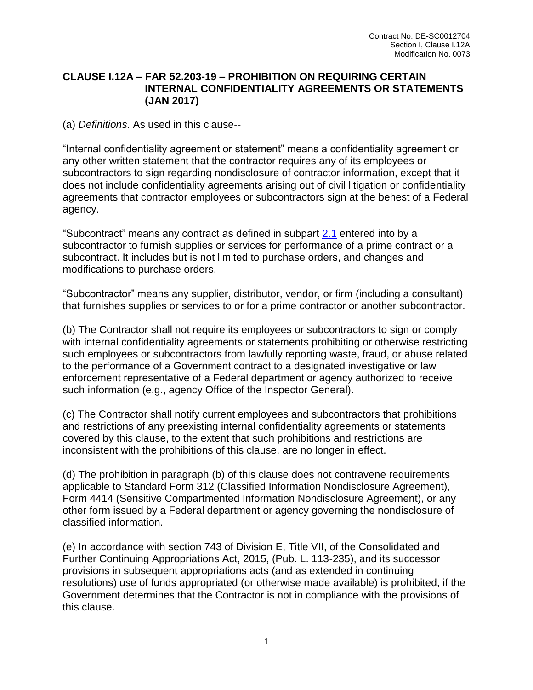#### **CLAUSE I.12A – FAR 52.203-19 – PROHIBITION ON REQUIRING CERTAIN INTERNAL CONFIDENTIALITY AGREEMENTS OR STATEMENTS (JAN 2017)**

(a) *Definitions*. As used in this clause--

"Internal confidentiality agreement or statement" means a confidentiality agreement or any other written statement that the contractor requires any of its employees or subcontractors to sign regarding nondisclosure of contractor information, except that it does not include confidentiality agreements arising out of civil litigation or confidentiality agreements that contractor employees or subcontractors sign at the behest of a Federal agency.

"Subcontract" means any contract as defined in subpart [2.1](http://farsite.hill.af.mil/reghtml/Regs/FAR2AFMCFARS/FARDFARS/FAR/02.htm#P9_576) entered into by a subcontractor to furnish supplies or services for performance of a prime contract or a subcontract. It includes but is not limited to purchase orders, and changes and modifications to purchase orders.

"Subcontractor" means any supplier, distributor, vendor, or firm (including a consultant) that furnishes supplies or services to or for a prime contractor or another subcontractor.

(b) The Contractor shall not require its employees or subcontractors to sign or comply with internal confidentiality agreements or statements prohibiting or otherwise restricting such employees or subcontractors from lawfully reporting waste, fraud, or abuse related to the performance of a Government contract to a designated investigative or law enforcement representative of a Federal department or agency authorized to receive such information (e.g., agency Office of the Inspector General).

(c) The Contractor shall notify current employees and subcontractors that prohibitions and restrictions of any preexisting internal confidentiality agreements or statements covered by this clause, to the extent that such prohibitions and restrictions are inconsistent with the prohibitions of this clause, are no longer in effect.

(d) The prohibition in paragraph (b) of this clause does not contravene requirements applicable to Standard Form 312 (Classified Information Nondisclosure Agreement), Form 4414 (Sensitive Compartmented Information Nondisclosure Agreement), or any other form issued by a Federal department or agency governing the nondisclosure of classified information.

(e) In accordance with section 743 of Division E, Title VII, of the Consolidated and Further Continuing Appropriations Act, 2015, (Pub. L. 113-235), and its successor provisions in subsequent appropriations acts (and as extended in continuing resolutions) use of funds appropriated (or otherwise made available) is prohibited, if the Government determines that the Contractor is not in compliance with the provisions of this clause.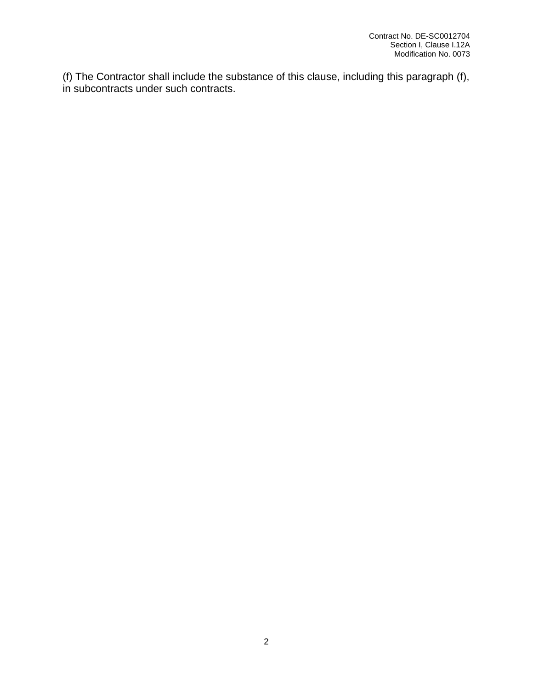(f) The Contractor shall include the substance of this clause, including this paragraph (f), in subcontracts under such contracts.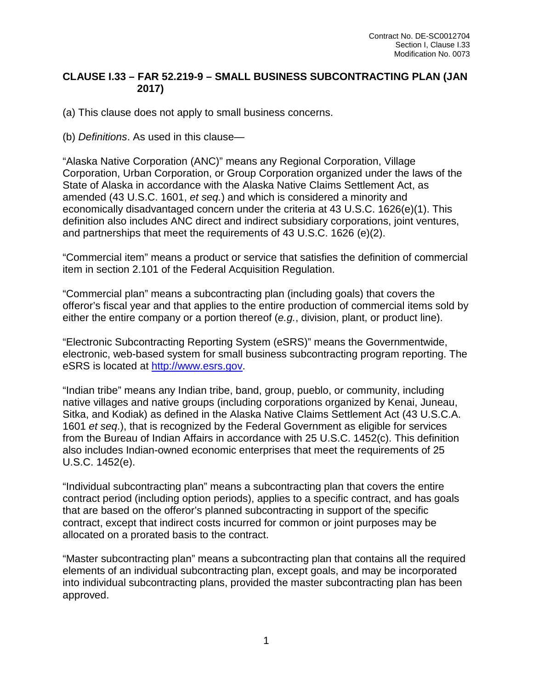### **CLAUSE I.33 – FAR 52.219-9 – SMALL BUSINESS SUBCONTRACTING PLAN (JAN 2017)**

(a) This clause does not apply to small business concerns.

(b) *Definitions*. As used in this clause—

"Alaska Native Corporation (ANC)" means any Regional Corporation, Village Corporation, Urban Corporation, or Group Corporation organized under the laws of the State of Alaska in accordance with the Alaska Native Claims Settlement Act, as amended (43 U.S.C. 1601, *et seq.*) and which is considered a minority and economically disadvantaged concern under the criteria at 43 U.S.C. 1626(e)(1). This definition also includes ANC direct and indirect subsidiary corporations, joint ventures, and partnerships that meet the requirements of 43 U.S.C. 1626 (e)(2).

"Commercial item" means a product or service that satisfies the definition of commercial item in section 2.101 of the Federal Acquisition Regulation.

"Commercial plan" means a subcontracting plan (including goals) that covers the offeror's fiscal year and that applies to the entire production of commercial items sold by either the entire company or a portion thereof (*e.g.*, division, plant, or product line).

"Electronic Subcontracting Reporting System (eSRS)" means the Governmentwide, electronic, web-based system for small business subcontracting program reporting. The eSRS is located at [http://www.esrs.gov.](http://www.esrs.gov/)

"Indian tribe" means any Indian tribe, band, group, pueblo, or community, including native villages and native groups (including corporations organized by Kenai, Juneau, Sitka, and Kodiak) as defined in the Alaska Native Claims Settlement Act (43 U.S.C.A. 1601 *et seq*.), that is recognized by the Federal Government as eligible for services from the Bureau of Indian Affairs in accordance with 25 U.S.C. 1452(c). This definition also includes Indian-owned economic enterprises that meet the requirements of 25 U.S.C. 1452(e).

"Individual subcontracting plan" means a subcontracting plan that covers the entire contract period (including option periods), applies to a specific contract, and has goals that are based on the offeror's planned subcontracting in support of the specific contract, except that indirect costs incurred for common or joint purposes may be allocated on a prorated basis to the contract.

"Master subcontracting plan" means a subcontracting plan that contains all the required elements of an individual subcontracting plan, except goals, and may be incorporated into individual subcontracting plans, provided the master subcontracting plan has been approved.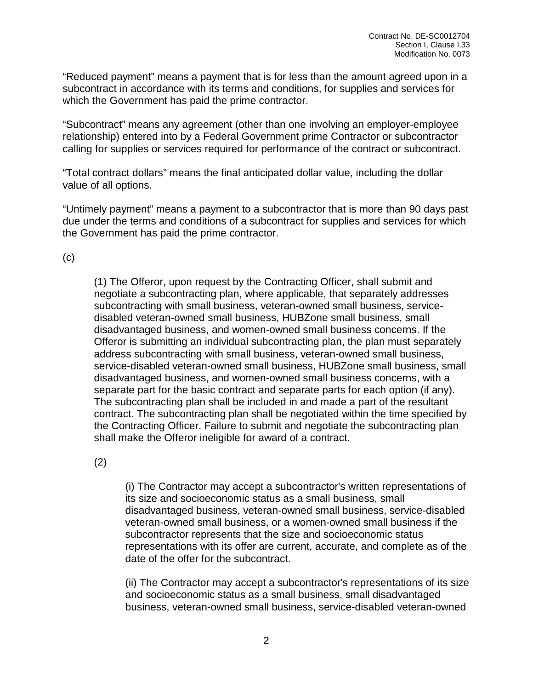"Reduced payment" means a payment that is for less than the amount agreed upon in a subcontract in accordance with its terms and conditions, for supplies and services for which the Government has paid the prime contractor.

"Subcontract" means any agreement (other than one involving an employer-employee relationship) entered into by a Federal Government prime Contractor or subcontractor calling for supplies or services required for performance of the contract or subcontract.

"Total contract dollars" means the final anticipated dollar value, including the dollar value of all options.

"Untimely payment" means a payment to a subcontractor that is more than 90 days past due under the terms and conditions of a subcontract for supplies and services for which the Government has paid the prime contractor.

(c)

(1) The Offeror, upon request by the Contracting Officer, shall submit and negotiate a subcontracting plan, where applicable, that separately addresses subcontracting with small business, veteran-owned small business, servicedisabled veteran-owned small business, HUBZone small business, small disadvantaged business, and women-owned small business concerns. If the Offeror is submitting an individual subcontracting plan, the plan must separately address subcontracting with small business, veteran-owned small business, service-disabled veteran-owned small business, HUBZone small business, small disadvantaged business, and women-owned small business concerns, with a separate part for the basic contract and separate parts for each option (if any). The subcontracting plan shall be included in and made a part of the resultant contract. The subcontracting plan shall be negotiated within the time specified by the Contracting Officer. Failure to submit and negotiate the subcontracting plan shall make the Offeror ineligible for award of a contract.

(2)

(i) The Contractor may accept a subcontractor's written representations of its size and socioeconomic status as a small business, small disadvantaged business, veteran-owned small business, service-disabled veteran-owned small business, or a women-owned small business if the subcontractor represents that the size and socioeconomic status representations with its offer are current, accurate, and complete as of the date of the offer for the subcontract.

(ii) The Contractor may accept a subcontractor's representations of its size and socioeconomic status as a small business, small disadvantaged business, veteran-owned small business, service-disabled veteran-owned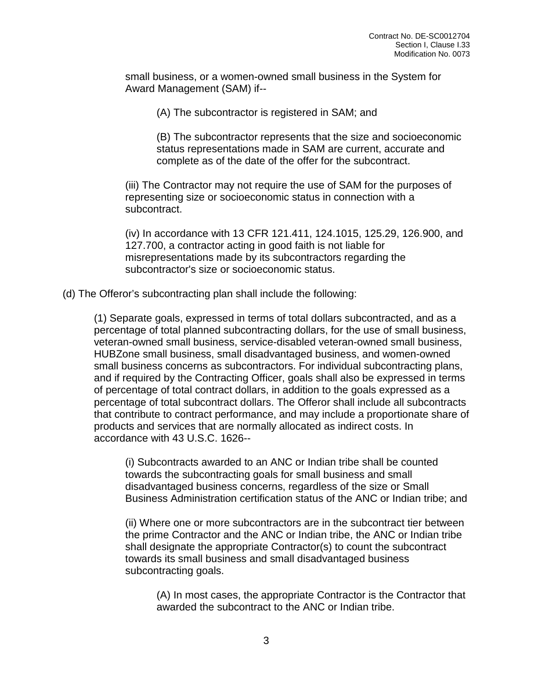small business, or a women-owned small business in the System for Award Management (SAM) if--

(A) The subcontractor is registered in SAM; and

(B) The subcontractor represents that the size and socioeconomic status representations made in SAM are current, accurate and complete as of the date of the offer for the subcontract.

(iii) The Contractor may not require the use of SAM for the purposes of representing size or socioeconomic status in connection with a subcontract.

(iv) In accordance with 13 CFR 121.411, 124.1015, 125.29, 126.900, and 127.700, a contractor acting in good faith is not liable for misrepresentations made by its subcontractors regarding the subcontractor's size or socioeconomic status.

(d) The Offeror's subcontracting plan shall include the following:

(1) Separate goals, expressed in terms of total dollars subcontracted, and as a percentage of total planned subcontracting dollars, for the use of small business, veteran-owned small business, service-disabled veteran-owned small business, HUBZone small business, small disadvantaged business, and women-owned small business concerns as subcontractors. For individual subcontracting plans, and if required by the Contracting Officer, goals shall also be expressed in terms of percentage of total contract dollars, in addition to the goals expressed as a percentage of total subcontract dollars. The Offeror shall include all subcontracts that contribute to contract performance, and may include a proportionate share of products and services that are normally allocated as indirect costs. In accordance with 43 U.S.C. 1626--

(i) Subcontracts awarded to an ANC or Indian tribe shall be counted towards the subcontracting goals for small business and small disadvantaged business concerns, regardless of the size or Small Business Administration certification status of the ANC or Indian tribe; and

(ii) Where one or more subcontractors are in the subcontract tier between the prime Contractor and the ANC or Indian tribe, the ANC or Indian tribe shall designate the appropriate Contractor(s) to count the subcontract towards its small business and small disadvantaged business subcontracting goals.

(A) In most cases, the appropriate Contractor is the Contractor that awarded the subcontract to the ANC or Indian tribe.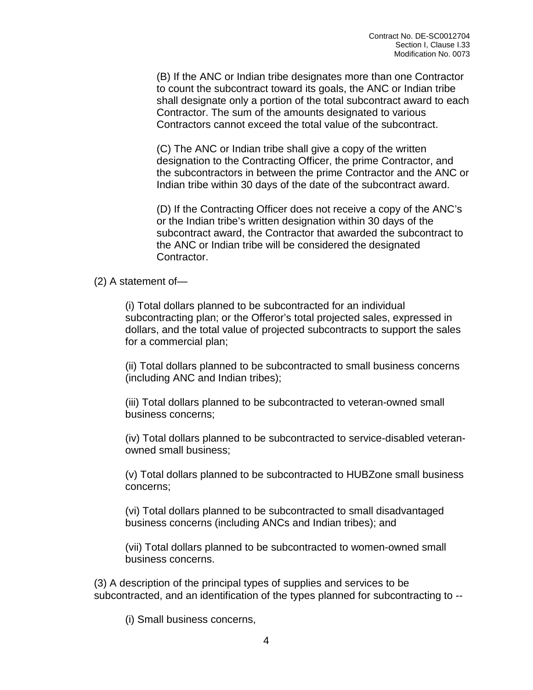(B) If the ANC or Indian tribe designates more than one Contractor to count the subcontract toward its goals, the ANC or Indian tribe shall designate only a portion of the total subcontract award to each Contractor. The sum of the amounts designated to various Contractors cannot exceed the total value of the subcontract.

(C) The ANC or Indian tribe shall give a copy of the written designation to the Contracting Officer, the prime Contractor, and the subcontractors in between the prime Contractor and the ANC or Indian tribe within 30 days of the date of the subcontract award.

(D) If the Contracting Officer does not receive a copy of the ANC's or the Indian tribe's written designation within 30 days of the subcontract award, the Contractor that awarded the subcontract to the ANC or Indian tribe will be considered the designated Contractor.

(2) A statement of—

(i) Total dollars planned to be subcontracted for an individual subcontracting plan; or the Offeror's total projected sales, expressed in dollars, and the total value of projected subcontracts to support the sales for a commercial plan;

(ii) Total dollars planned to be subcontracted to small business concerns (including ANC and Indian tribes);

(iii) Total dollars planned to be subcontracted to veteran-owned small business concerns;

(iv) Total dollars planned to be subcontracted to service-disabled veteranowned small business;

(v) Total dollars planned to be subcontracted to HUBZone small business concerns;

(vi) Total dollars planned to be subcontracted to small disadvantaged business concerns (including ANCs and Indian tribes); and

(vii) Total dollars planned to be subcontracted to women-owned small business concerns.

(3) A description of the principal types of supplies and services to be subcontracted, and an identification of the types planned for subcontracting to --

(i) Small business concerns,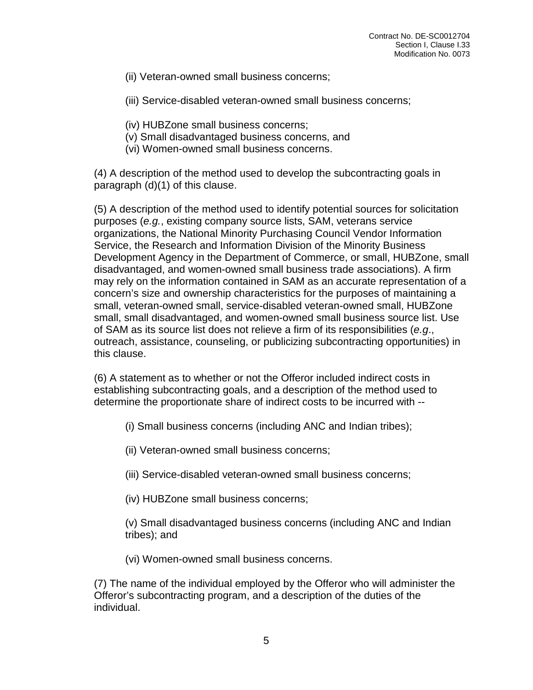(ii) Veteran-owned small business concerns;

(iii) Service-disabled veteran-owned small business concerns;

- (iv) HUBZone small business concerns;
- (v) Small disadvantaged business concerns, and
- (vi) Women-owned small business concerns.

(4) A description of the method used to develop the subcontracting goals in paragraph (d)(1) of this clause.

(5) A description of the method used to identify potential sources for solicitation purposes (*e.g.*, existing company source lists, SAM, veterans service organizations, the National Minority Purchasing Council Vendor Information Service, the Research and Information Division of the Minority Business Development Agency in the Department of Commerce, or small, HUBZone, small disadvantaged, and women-owned small business trade associations). A firm may rely on the information contained in SAM as an accurate representation of a concern's size and ownership characteristics for the purposes of maintaining a small, veteran-owned small, service-disabled veteran-owned small, HUBZone small, small disadvantaged, and women-owned small business source list. Use of SAM as its source list does not relieve a firm of its responsibilities (*e.g*., outreach, assistance, counseling, or publicizing subcontracting opportunities) in this clause.

(6) A statement as to whether or not the Offeror included indirect costs in establishing subcontracting goals, and a description of the method used to determine the proportionate share of indirect costs to be incurred with --

(i) Small business concerns (including ANC and Indian tribes);

(ii) Veteran-owned small business concerns;

(iii) Service-disabled veteran-owned small business concerns;

(iv) HUBZone small business concerns;

(v) Small disadvantaged business concerns (including ANC and Indian tribes); and

(vi) Women-owned small business concerns.

(7) The name of the individual employed by the Offeror who will administer the Offeror's subcontracting program, and a description of the duties of the individual.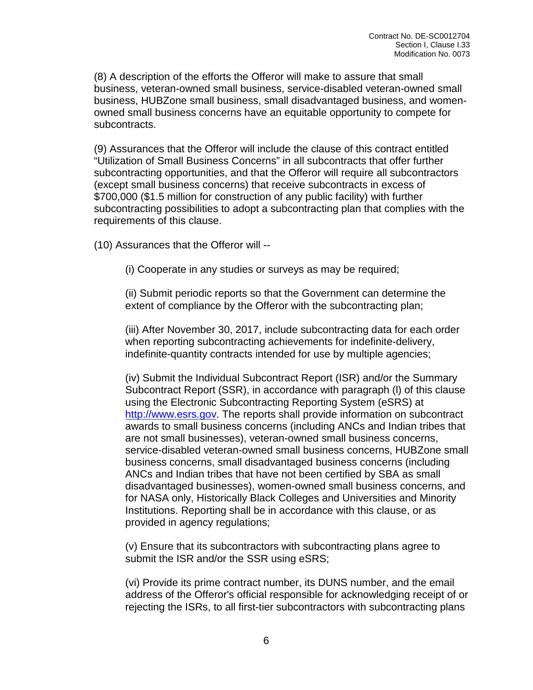(8) A description of the efforts the Offeror will make to assure that small business, veteran-owned small business, service-disabled veteran-owned small business, HUBZone small business, small disadvantaged business, and womenowned small business concerns have an equitable opportunity to compete for subcontracts.

(9) Assurances that the Offeror will include the clause of this contract entitled "Utilization of Small Business Concerns" in all subcontracts that offer further subcontracting opportunities, and that the Offeror will require all subcontractors (except small business concerns) that receive subcontracts in excess of \$700,000 (\$1.5 million for construction of any public facility) with further subcontracting possibilities to adopt a subcontracting plan that complies with the requirements of this clause.

(10) Assurances that the Offeror will --

(i) Cooperate in any studies or surveys as may be required;

(ii) Submit periodic reports so that the Government can determine the extent of compliance by the Offeror with the subcontracting plan;

(iii) After November 30, 2017, include subcontracting data for each order when reporting subcontracting achievements for indefinite-delivery, indefinite-quantity contracts intended for use by multiple agencies;

(iv) Submit the Individual Subcontract Report (ISR) and/or the Summary Subcontract Report (SSR), in accordance with paragraph (l) of this clause using the Electronic Subcontracting Reporting System (eSRS) at [http://www.esrs.gov.](http://www.esrs.gov/) The reports shall provide information on subcontract awards to small business concerns (including ANCs and Indian tribes that are not small businesses), veteran-owned small business concerns, service-disabled veteran-owned small business concerns, HUBZone small business concerns, small disadvantaged business concerns (including ANCs and Indian tribes that have not been certified by SBA as small disadvantaged businesses), women-owned small business concerns, and for NASA only, Historically Black Colleges and Universities and Minority Institutions. Reporting shall be in accordance with this clause, or as provided in agency regulations;

(v) Ensure that its subcontractors with subcontracting plans agree to submit the ISR and/or the SSR using eSRS;

(vi) Provide its prime contract number, its DUNS number, and the email address of the Offeror's official responsible for acknowledging receipt of or rejecting the ISRs, to all first-tier subcontractors with subcontracting plans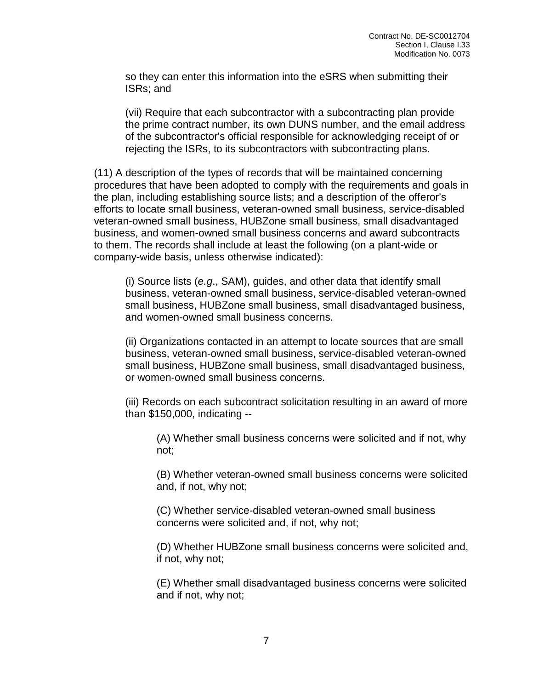so they can enter this information into the eSRS when submitting their ISRs; and

(vii) Require that each subcontractor with a subcontracting plan provide the prime contract number, its own DUNS number, and the email address of the subcontractor's official responsible for acknowledging receipt of or rejecting the ISRs, to its subcontractors with subcontracting plans.

(11) A description of the types of records that will be maintained concerning procedures that have been adopted to comply with the requirements and goals in the plan, including establishing source lists; and a description of the offeror's efforts to locate small business, veteran-owned small business, service-disabled veteran-owned small business, HUBZone small business, small disadvantaged business, and women-owned small business concerns and award subcontracts to them. The records shall include at least the following (on a plant-wide or company-wide basis, unless otherwise indicated):

(i) Source lists (*e.g*., SAM), guides, and other data that identify small business, veteran-owned small business, service-disabled veteran-owned small business, HUBZone small business, small disadvantaged business, and women-owned small business concerns.

(ii) Organizations contacted in an attempt to locate sources that are small business, veteran-owned small business, service-disabled veteran-owned small business, HUBZone small business, small disadvantaged business, or women-owned small business concerns.

(iii) Records on each subcontract solicitation resulting in an award of more than \$150,000, indicating --

(A) Whether small business concerns were solicited and if not, why not;

(B) Whether veteran-owned small business concerns were solicited and, if not, why not;

(C) Whether service-disabled veteran-owned small business concerns were solicited and, if not, why not;

(D) Whether HUBZone small business concerns were solicited and, if not, why not;

(E) Whether small disadvantaged business concerns were solicited and if not, why not;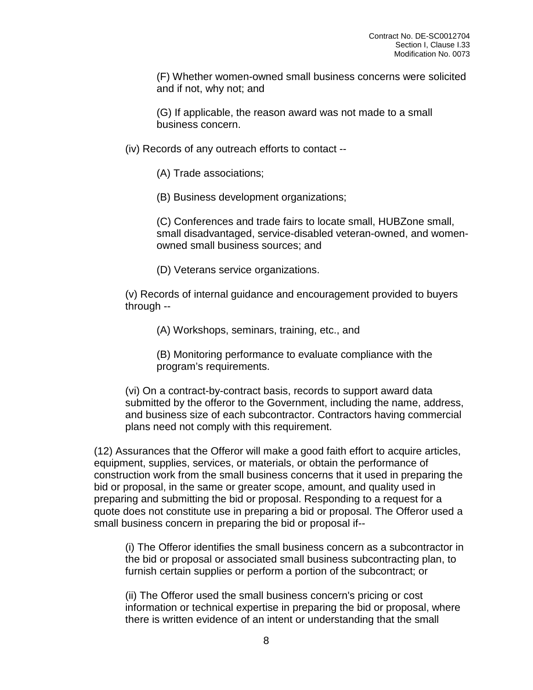(F) Whether women-owned small business concerns were solicited and if not, why not; and

(G) If applicable, the reason award was not made to a small business concern.

(iv) Records of any outreach efforts to contact --

(A) Trade associations;

(B) Business development organizations;

(C) Conferences and trade fairs to locate small, HUBZone small, small disadvantaged, service-disabled veteran-owned, and womenowned small business sources; and

(D) Veterans service organizations.

(v) Records of internal guidance and encouragement provided to buyers through --

(A) Workshops, seminars, training, etc., and

(B) Monitoring performance to evaluate compliance with the program's requirements.

(vi) On a contract-by-contract basis, records to support award data submitted by the offeror to the Government, including the name, address, and business size of each subcontractor. Contractors having commercial plans need not comply with this requirement.

(12) Assurances that the Offeror will make a good faith effort to acquire articles, equipment, supplies, services, or materials, or obtain the performance of construction work from the small business concerns that it used in preparing the bid or proposal, in the same or greater scope, amount, and quality used in preparing and submitting the bid or proposal. Responding to a request for a quote does not constitute use in preparing a bid or proposal. The Offeror used a small business concern in preparing the bid or proposal if--

(i) The Offeror identifies the small business concern as a subcontractor in the bid or proposal or associated small business subcontracting plan, to furnish certain supplies or perform a portion of the subcontract; or

(ii) The Offeror used the small business concern's pricing or cost information or technical expertise in preparing the bid or proposal, where there is written evidence of an intent or understanding that the small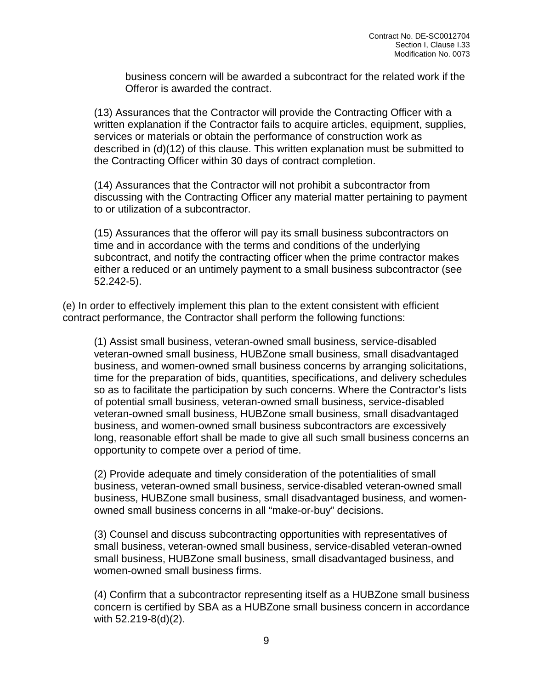business concern will be awarded a subcontract for the related work if the Offeror is awarded the contract.

(13) Assurances that the Contractor will provide the Contracting Officer with a written explanation if the Contractor fails to acquire articles, equipment, supplies, services or materials or obtain the performance of construction work as described in (d)(12) of this clause. This written explanation must be submitted to the Contracting Officer within 30 days of contract completion.

(14) Assurances that the Contractor will not prohibit a subcontractor from discussing with the Contracting Officer any material matter pertaining to payment to or utilization of a subcontractor.

(15) Assurances that the offeror will pay its small business subcontractors on time and in accordance with the terms and conditions of the underlying subcontract, and notify the contracting officer when the prime contractor makes either a reduced or an untimely payment to a small business subcontractor (see 52.242-5).

(e) In order to effectively implement this plan to the extent consistent with efficient contract performance, the Contractor shall perform the following functions:

(1) Assist small business, veteran-owned small business, service-disabled veteran-owned small business, HUBZone small business, small disadvantaged business, and women-owned small business concerns by arranging solicitations, time for the preparation of bids, quantities, specifications, and delivery schedules so as to facilitate the participation by such concerns. Where the Contractor's lists of potential small business, veteran-owned small business, service-disabled veteran-owned small business, HUBZone small business, small disadvantaged business, and women-owned small business subcontractors are excessively long, reasonable effort shall be made to give all such small business concerns an opportunity to compete over a period of time.

(2) Provide adequate and timely consideration of the potentialities of small business, veteran-owned small business, service-disabled veteran-owned small business, HUBZone small business, small disadvantaged business, and womenowned small business concerns in all "make-or-buy" decisions.

(3) Counsel and discuss subcontracting opportunities with representatives of small business, veteran-owned small business, service-disabled veteran-owned small business, HUBZone small business, small disadvantaged business, and women-owned small business firms.

(4) Confirm that a subcontractor representing itself as a HUBZone small business concern is certified by SBA as a HUBZone small business concern in accordance with 52.219-8(d)(2).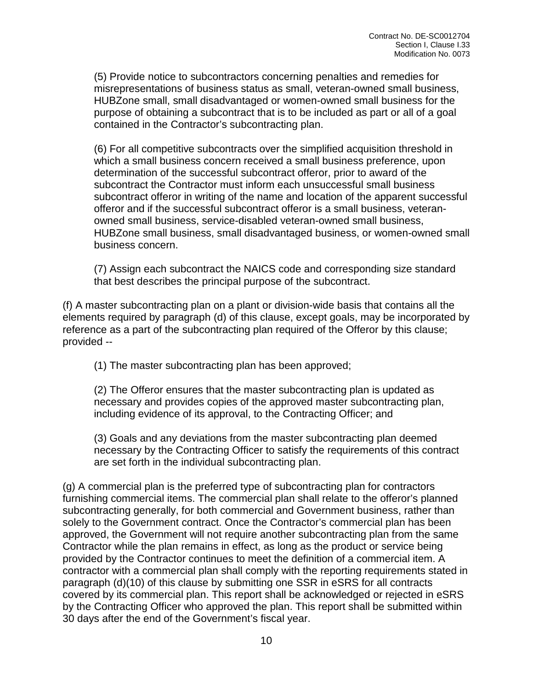(5) Provide notice to subcontractors concerning penalties and remedies for misrepresentations of business status as small, veteran-owned small business, HUBZone small, small disadvantaged or women-owned small business for the purpose of obtaining a subcontract that is to be included as part or all of a goal contained in the Contractor's subcontracting plan.

(6) For all competitive subcontracts over the simplified acquisition threshold in which a small business concern received a small business preference, upon determination of the successful subcontract offeror, prior to award of the subcontract the Contractor must inform each unsuccessful small business subcontract offeror in writing of the name and location of the apparent successful offeror and if the successful subcontract offeror is a small business, veteranowned small business, service-disabled veteran-owned small business, HUBZone small business, small disadvantaged business, or women-owned small business concern.

(7) Assign each subcontract the NAICS code and corresponding size standard that best describes the principal purpose of the subcontract.

(f) A master subcontracting plan on a plant or division-wide basis that contains all the elements required by paragraph (d) of this clause, except goals, may be incorporated by reference as a part of the subcontracting plan required of the Offeror by this clause; provided --

(1) The master subcontracting plan has been approved;

(2) The Offeror ensures that the master subcontracting plan is updated as necessary and provides copies of the approved master subcontracting plan, including evidence of its approval, to the Contracting Officer; and

(3) Goals and any deviations from the master subcontracting plan deemed necessary by the Contracting Officer to satisfy the requirements of this contract are set forth in the individual subcontracting plan.

(g) A commercial plan is the preferred type of subcontracting plan for contractors furnishing commercial items. The commercial plan shall relate to the offeror's planned subcontracting generally, for both commercial and Government business, rather than solely to the Government contract. Once the Contractor's commercial plan has been approved, the Government will not require another subcontracting plan from the same Contractor while the plan remains in effect, as long as the product or service being provided by the Contractor continues to meet the definition of a commercial item. A contractor with a commercial plan shall comply with the reporting requirements stated in paragraph (d)(10) of this clause by submitting one SSR in eSRS for all contracts covered by its commercial plan. This report shall be acknowledged or rejected in eSRS by the Contracting Officer who approved the plan. This report shall be submitted within 30 days after the end of the Government's fiscal year.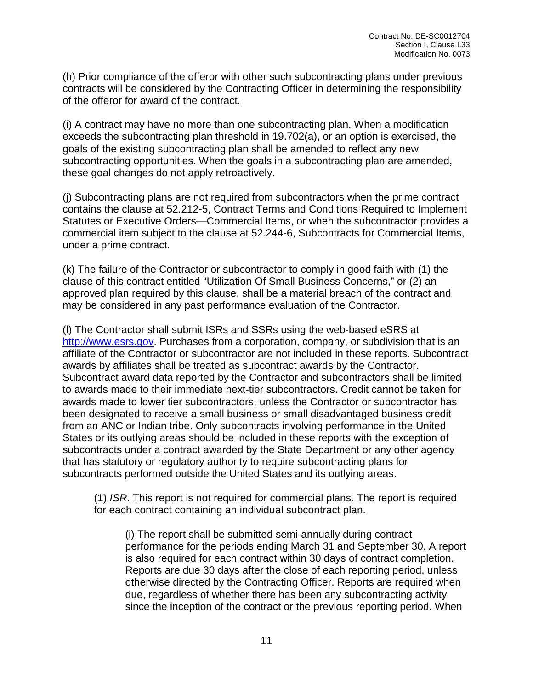(h) Prior compliance of the offeror with other such subcontracting plans under previous contracts will be considered by the Contracting Officer in determining the responsibility of the offeror for award of the contract.

(i) A contract may have no more than one subcontracting plan. When a modification exceeds the subcontracting plan threshold in 19.702(a), or an option is exercised, the goals of the existing subcontracting plan shall be amended to reflect any new subcontracting opportunities. When the goals in a subcontracting plan are amended, these goal changes do not apply retroactively.

(j) Subcontracting plans are not required from subcontractors when the prime contract contains the clause at 52.212-5, Contract Terms and Conditions Required to Implement Statutes or Executive Orders—Commercial Items, or when the subcontractor provides a commercial item subject to the clause at 52.244-6, Subcontracts for Commercial Items, under a prime contract.

(k) The failure of the Contractor or subcontractor to comply in good faith with (1) the clause of this contract entitled "Utilization Of Small Business Concerns," or (2) an approved plan required by this clause, shall be a material breach of the contract and may be considered in any past performance evaluation of the Contractor.

(l) The Contractor shall submit ISRs and SSRs using the web-based eSRS at [http://www.esrs.gov.](http://www.esrs.gov/) Purchases from a corporation, company, or subdivision that is an affiliate of the Contractor or subcontractor are not included in these reports. Subcontract awards by affiliates shall be treated as subcontract awards by the Contractor. Subcontract award data reported by the Contractor and subcontractors shall be limited to awards made to their immediate next-tier subcontractors. Credit cannot be taken for awards made to lower tier subcontractors, unless the Contractor or subcontractor has been designated to receive a small business or small disadvantaged business credit from an ANC or Indian tribe. Only subcontracts involving performance in the United States or its outlying areas should be included in these reports with the exception of subcontracts under a contract awarded by the State Department or any other agency that has statutory or regulatory authority to require subcontracting plans for subcontracts performed outside the United States and its outlying areas.

(1) *ISR*. This report is not required for commercial plans. The report is required for each contract containing an individual subcontract plan.

(i) The report shall be submitted semi-annually during contract performance for the periods ending March 31 and September 30. A report is also required for each contract within 30 days of contract completion. Reports are due 30 days after the close of each reporting period, unless otherwise directed by the Contracting Officer. Reports are required when due, regardless of whether there has been any subcontracting activity since the inception of the contract or the previous reporting period. When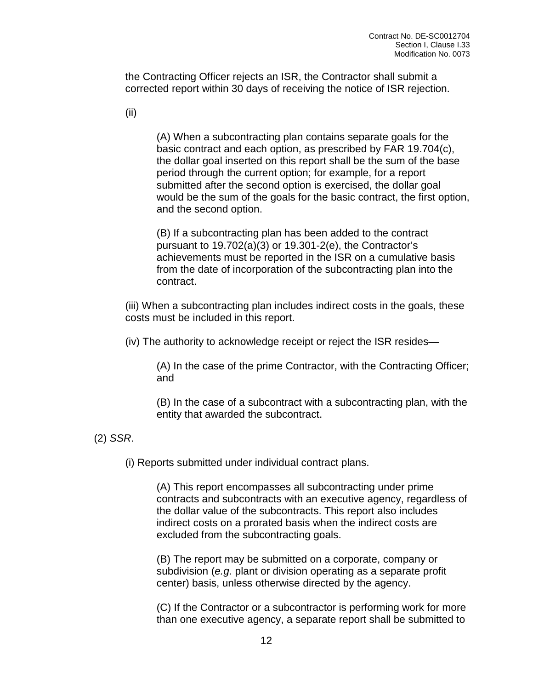the Contracting Officer rejects an ISR, the Contractor shall submit a corrected report within 30 days of receiving the notice of ISR rejection.

(ii)

(A) When a subcontracting plan contains separate goals for the basic contract and each option, as prescribed by FAR 19.704(c), the dollar goal inserted on this report shall be the sum of the base period through the current option; for example, for a report submitted after the second option is exercised, the dollar goal would be the sum of the goals for the basic contract, the first option, and the second option.

(B) If a subcontracting plan has been added to the contract pursuant to 19.702(a)(3) or 19.301-2(e), the Contractor's achievements must be reported in the ISR on a cumulative basis from the date of incorporation of the subcontracting plan into the contract.

(iii) When a subcontracting plan includes indirect costs in the goals, these costs must be included in this report.

(iv) The authority to acknowledge receipt or reject the ISR resides—

(A) In the case of the prime Contractor, with the Contracting Officer; and

(B) In the case of a subcontract with a subcontracting plan, with the entity that awarded the subcontract.

(2) *SSR*.

(i) Reports submitted under individual contract plans.

(A) This report encompasses all subcontracting under prime contracts and subcontracts with an executive agency, regardless of the dollar value of the subcontracts. This report also includes indirect costs on a prorated basis when the indirect costs are excluded from the subcontracting goals.

(B) The report may be submitted on a corporate, company or subdivision (*e.g.* plant or division operating as a separate profit center) basis, unless otherwise directed by the agency.

(C) If the Contractor or a subcontractor is performing work for more than one executive agency, a separate report shall be submitted to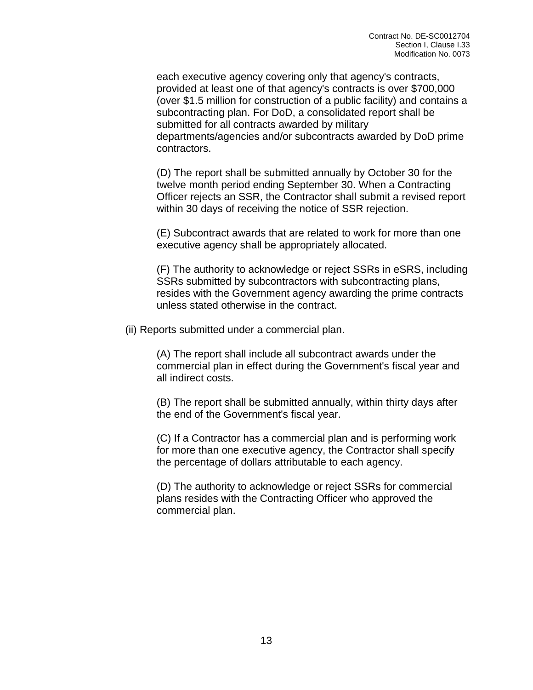each executive agency covering only that agency's contracts, provided at least one of that agency's contracts is over \$700,000 (over \$1.5 million for construction of a public facility) and contains a subcontracting plan. For DoD, a consolidated report shall be submitted for all contracts awarded by military departments/agencies and/or subcontracts awarded by DoD prime contractors.

(D) The report shall be submitted annually by October 30 for the twelve month period ending September 30. When a Contracting Officer rejects an SSR, the Contractor shall submit a revised report within 30 days of receiving the notice of SSR rejection.

(E) Subcontract awards that are related to work for more than one executive agency shall be appropriately allocated.

(F) The authority to acknowledge or reject SSRs in eSRS, including SSRs submitted by subcontractors with subcontracting plans, resides with the Government agency awarding the prime contracts unless stated otherwise in the contract.

(ii) Reports submitted under a commercial plan.

(A) The report shall include all subcontract awards under the commercial plan in effect during the Government's fiscal year and all indirect costs.

(B) The report shall be submitted annually, within thirty days after the end of the Government's fiscal year.

(C) If a Contractor has a commercial plan and is performing work for more than one executive agency, the Contractor shall specify the percentage of dollars attributable to each agency.

(D) The authority to acknowledge or reject SSRs for commercial plans resides with the Contracting Officer who approved the commercial plan.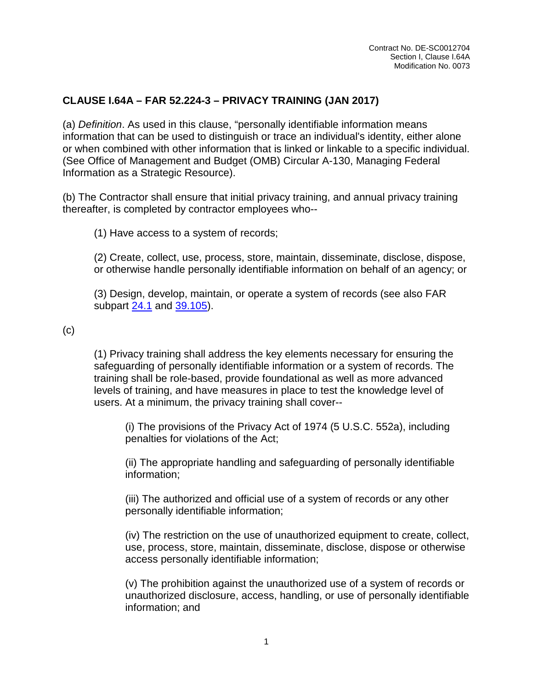# **CLAUSE I.64A – FAR 52.224-3 – PRIVACY TRAINING (JAN 2017)**

(a) *Definition*. As used in this clause, "personally identifiable information means information that can be used to distinguish or trace an individual's identity, either alone or when combined with other information that is linked or linkable to a specific individual. (See Office of Management and Budget (OMB) Circular A-130, Managing Federal Information as a Strategic Resource).

(b) The Contractor shall ensure that initial privacy training, and annual privacy training thereafter, is completed by contractor employees who--

(1) Have access to a system of records;

(2) Create, collect, use, process, store, maintain, disseminate, disclose, dispose, or otherwise handle personally identifiable information on behalf of an agency; or

(3) Design, develop, maintain, or operate a system of records (see also FAR subpart [24.1](http://farsite.hill.af.mil/reghtml/Regs/FAR2AFMCFARS/FARDFARS/FAR/24.htm#P5_378) and [39.105\)](http://farsite.hill.af.mil/reghtml/Regs/FAR2AFMCFARS/FARDFARS/FAR/39.htm#P50_8852).

(c)

(1) Privacy training shall address the key elements necessary for ensuring the safeguarding of personally identifiable information or a system of records. The training shall be role-based, provide foundational as well as more advanced levels of training, and have measures in place to test the knowledge level of users. At a minimum, the privacy training shall cover--

(i) The provisions of the Privacy Act of 1974 (5 U.S.C. 552a), including penalties for violations of the Act;

(ii) The appropriate handling and safeguarding of personally identifiable information;

(iii) The authorized and official use of a system of records or any other personally identifiable information;

(iv) The restriction on the use of unauthorized equipment to create, collect, use, process, store, maintain, disseminate, disclose, dispose or otherwise access personally identifiable information;

(v) The prohibition against the unauthorized use of a system of records or unauthorized disclosure, access, handling, or use of personally identifiable information; and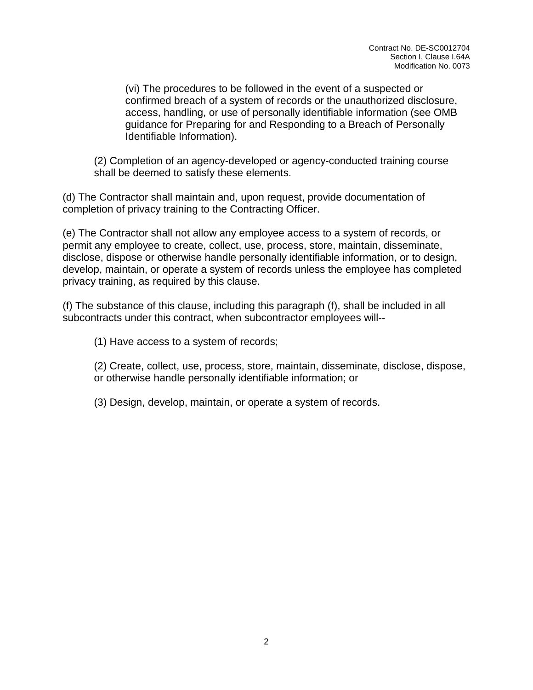(vi) The procedures to be followed in the event of a suspected or confirmed breach of a system of records or the unauthorized disclosure, access, handling, or use of personally identifiable information (see OMB guidance for Preparing for and Responding to a Breach of Personally Identifiable Information).

(2) Completion of an agency-developed or agency-conducted training course shall be deemed to satisfy these elements.

(d) The Contractor shall maintain and, upon request, provide documentation of completion of privacy training to the Contracting Officer.

(e) The Contractor shall not allow any employee access to a system of records, or permit any employee to create, collect, use, process, store, maintain, disseminate, disclose, dispose or otherwise handle personally identifiable information, or to design, develop, maintain, or operate a system of records unless the employee has completed privacy training, as required by this clause.

(f) The substance of this clause, including this paragraph (f), shall be included in all subcontracts under this contract, when subcontractor employees will--

(1) Have access to a system of records;

(2) Create, collect, use, process, store, maintain, disseminate, disclose, dispose, or otherwise handle personally identifiable information; or

(3) Design, develop, maintain, or operate a system of records.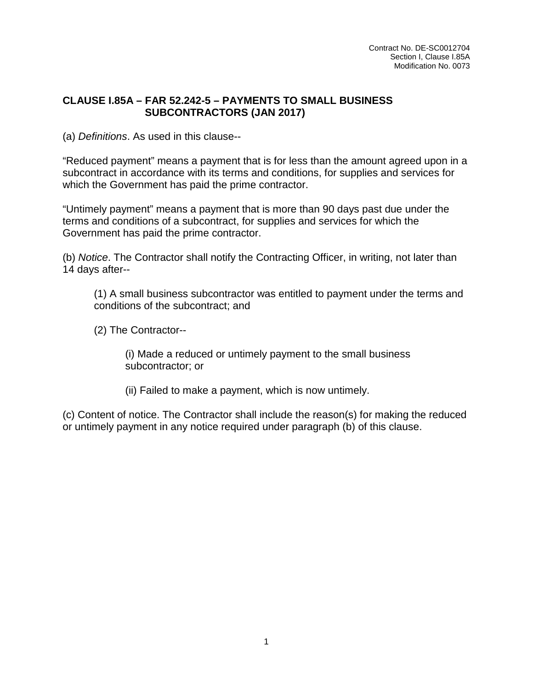### **CLAUSE I.85A – FAR 52.242-5 – PAYMENTS TO SMALL BUSINESS SUBCONTRACTORS (JAN 2017)**

(a) *Definitions*. As used in this clause--

"Reduced payment" means a payment that is for less than the amount agreed upon in a subcontract in accordance with its terms and conditions, for supplies and services for which the Government has paid the prime contractor.

"Untimely payment" means a payment that is more than 90 days past due under the terms and conditions of a subcontract, for supplies and services for which the Government has paid the prime contractor.

(b) *Notice*. The Contractor shall notify the Contracting Officer, in writing, not later than 14 days after--

(1) A small business subcontractor was entitled to payment under the terms and conditions of the subcontract; and

(2) The Contractor--

(i) Made a reduced or untimely payment to the small business subcontractor; or

(ii) Failed to make a payment, which is now untimely.

(c) Content of notice. The Contractor shall include the reason(s) for making the reduced or untimely payment in any notice required under paragraph (b) of this clause.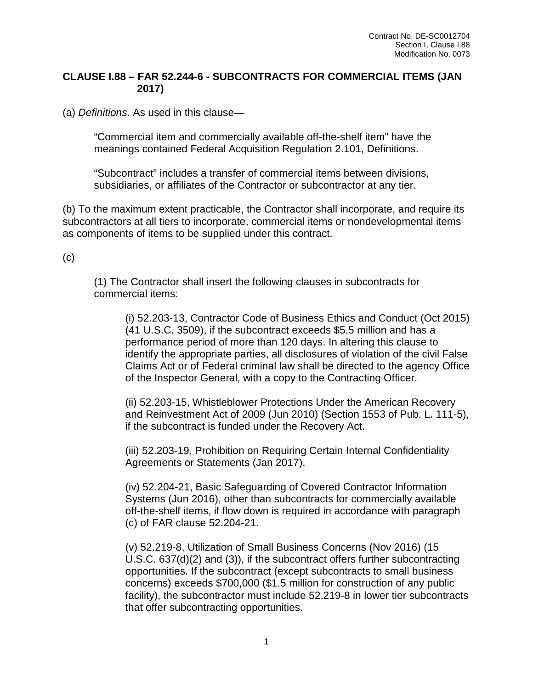### **CLAUSE I.88 – FAR 52.244-6 - SUBCONTRACTS FOR COMMERCIAL ITEMS (JAN 2017)**

(a) *Definitions.* As used in this clause—

"Commercial item and commercially available off-the-shelf item" have the meanings contained Federal Acquisition Regulation 2.101, Definitions.

"Subcontract" includes a transfer of commercial items between divisions, subsidiaries, or affiliates of the Contractor or subcontractor at any tier.

(b) To the maximum extent practicable, the Contractor shall incorporate, and require its subcontractors at all tiers to incorporate, commercial items or nondevelopmental items as components of items to be supplied under this contract.

(c)

(1) The Contractor shall insert the following clauses in subcontracts for commercial items:

(i) 52.203-13, Contractor Code of Business Ethics and Conduct (Oct 2015) (41 U.S.C. 3509), if the subcontract exceeds \$5.5 million and has a performance period of more than 120 days. In altering this clause to identify the appropriate parties, all disclosures of violation of the civil False Claims Act or of Federal criminal law shall be directed to the agency Office of the Inspector General, with a copy to the Contracting Officer.

(ii) 52.203-15, Whistleblower Protections Under the American Recovery and Reinvestment Act of 2009 (Jun 2010) (Section 1553 of Pub. L. 111-5), if the subcontract is funded under the Recovery Act.

(iii) 52.203-19, Prohibition on Requiring Certain Internal Confidentiality Agreements or Statements (Jan 2017).

(iv) 52.204-21, Basic Safeguarding of Covered Contractor Information Systems (Jun 2016), other than subcontracts for commercially available off-the-shelf items, if flow down is required in accordance with paragraph (c) of FAR clause 52.204-21.

(v) 52.219-8, Utilization of Small Business Concerns (Nov 2016) (15 U.S.C. 637(d)(2) and (3)), if the subcontract offers further subcontracting opportunities. If the subcontract (except subcontracts to small business concerns) exceeds \$700,000 (\$1.5 million for construction of any public facility), the subcontractor must include 52.219-8 in lower tier subcontracts that offer subcontracting opportunities.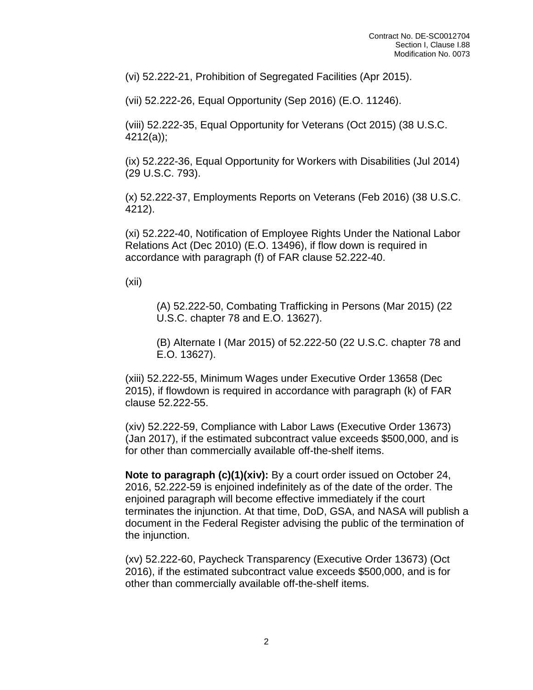(vi) 52.222-21, Prohibition of Segregated Facilities (Apr 2015).

(vii) 52.222-26, Equal Opportunity (Sep 2016) (E.O. 11246).

(viii) 52.222-35, Equal Opportunity for Veterans (Oct 2015) (38 U.S.C. 4212(a));

(ix) 52.222-36, Equal Opportunity for Workers with Disabilities (Jul 2014) (29 U.S.C. 793).

(x) 52.222-37, Employments Reports on Veterans (Feb 2016) (38 U.S.C. 4212).

(xi) 52.222-40, Notification of Employee Rights Under the National Labor Relations Act (Dec 2010) (E.O. 13496), if flow down is required in accordance with paragraph (f) of FAR clause 52.222-40.

(xii)

(A) 52.222-50, Combating Trafficking in Persons (Mar 2015) (22 U.S.C. chapter 78 and E.O. 13627).

(B) Alternate I (Mar 2015) of 52.222-50 (22 U.S.C. chapter 78 and E.O. 13627).

(xiii) 52.222-55, Minimum Wages under Executive Order 13658 (Dec 2015), if flowdown is required in accordance with paragraph (k) of FAR clause 52.222-55.

(xiv) 52.222-59, Compliance with Labor Laws (Executive Order 13673) (Jan 2017), if the estimated subcontract value exceeds \$500,000, and is for other than commercially available off-the-shelf items.

**Note to paragraph (c)(1)(xiv):** By a court order issued on October 24, 2016, 52.222-59 is enjoined indefinitely as of the date of the order. The enjoined paragraph will become effective immediately if the court terminates the injunction. At that time, DoD, GSA, and NASA will publish a document in the Federal Register advising the public of the termination of the injunction.

(xv) 52.222-60, Paycheck Transparency (Executive Order 13673) (Oct 2016), if the estimated subcontract value exceeds \$500,000, and is for other than commercially available off-the-shelf items.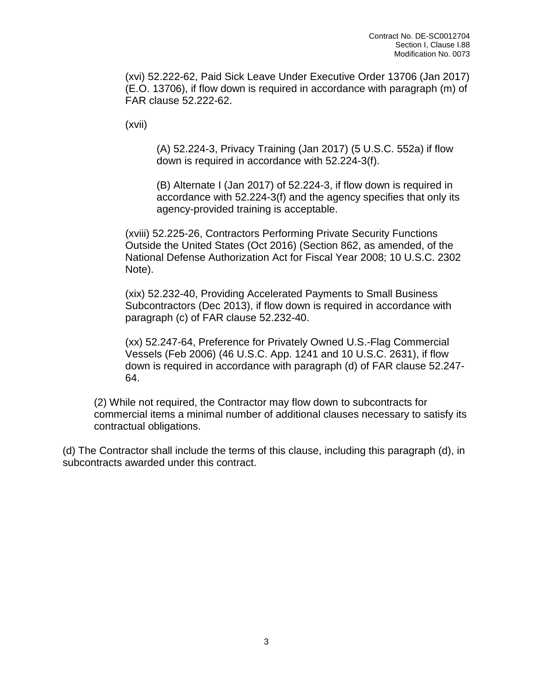(xvi) 52.222-62, Paid Sick Leave Under Executive Order 13706 (Jan 2017) (E.O. 13706), if flow down is required in accordance with paragraph (m) of FAR clause 52.222-62.

(xvii)

(A) 52.224-3, Privacy Training (Jan 2017) (5 U.S.C. 552a) if flow down is required in accordance with 52.224-3(f).

(B) Alternate I (Jan 2017) of 52.224-3, if flow down is required in accordance with 52.224-3(f) and the agency specifies that only its agency-provided training is acceptable.

(xviii) 52.225-26, Contractors Performing Private Security Functions Outside the United States (Oct 2016) (Section 862, as amended, of the National Defense Authorization Act for Fiscal Year 2008; 10 U.S.C. 2302 Note).

(xix) 52.232-40, Providing Accelerated Payments to Small Business Subcontractors (Dec 2013), if flow down is required in accordance with paragraph (c) of FAR clause 52.232-40.

(xx) 52.247-64, Preference for Privately Owned U.S.-Flag Commercial Vessels (Feb 2006) (46 U.S.C. App. 1241 and 10 U.S.C. 2631), if flow down is required in accordance with paragraph (d) of FAR clause 52.247- 64.

(2) While not required, the Contractor may flow down to subcontracts for commercial items a minimal number of additional clauses necessary to satisfy its contractual obligations.

(d) The Contractor shall include the terms of this clause, including this paragraph (d), in subcontracts awarded under this contract.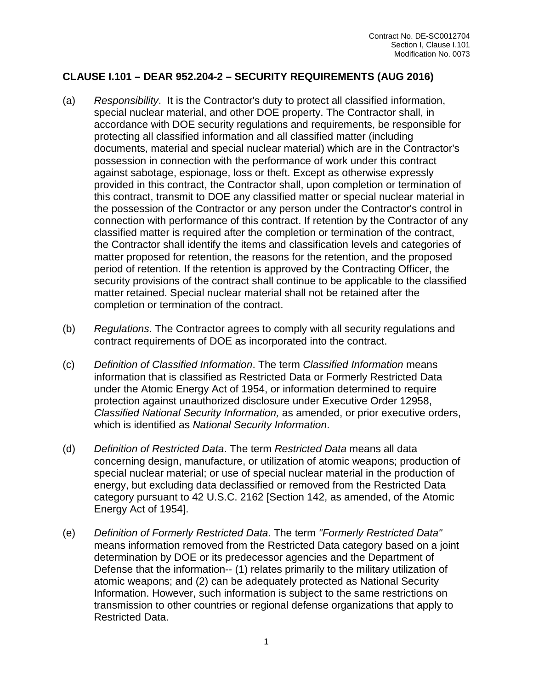### **CLAUSE I.101 – DEAR 952.204-2 – SECURITY REQUIREMENTS (AUG 2016)**

- (a) *Responsibility*. It is the Contractor's duty to protect all classified information, special nuclear material, and other DOE property. The Contractor shall, in accordance with DOE security regulations and requirements, be responsible for protecting all classified information and all classified matter (including documents, material and special nuclear material) which are in the Contractor's possession in connection with the performance of work under this contract against sabotage, espionage, loss or theft. Except as otherwise expressly provided in this contract, the Contractor shall, upon completion or termination of this contract, transmit to DOE any classified matter or special nuclear material in the possession of the Contractor or any person under the Contractor's control in connection with performance of this contract. If retention by the Contractor of any classified matter is required after the completion or termination of the contract, the Contractor shall identify the items and classification levels and categories of matter proposed for retention, the reasons for the retention, and the proposed period of retention. If the retention is approved by the Contracting Officer, the security provisions of the contract shall continue to be applicable to the classified matter retained. Special nuclear material shall not be retained after the completion or termination of the contract.
- (b) *Regulations*. The Contractor agrees to comply with all security regulations and contract requirements of DOE as incorporated into the contract.
- (c) *Definition of Classified Information*. The term *Classified Information* means information that is classified as Restricted Data or Formerly Restricted Data under the Atomic Energy Act of 1954, or information determined to require protection against unauthorized disclosure under Executive Order 12958, *Classified National Security Information,* as amended, or prior executive orders, which is identified as *National Security Information*.
- (d) *Definition of Restricted Data*. The term *Restricted Data* means all data concerning design, manufacture, or utilization of atomic weapons; production of special nuclear material; or use of special nuclear material in the production of energy, but excluding data declassified or removed from the Restricted Data category pursuant to 42 U.S.C. 2162 [Section 142, as amended, of the Atomic Energy Act of 1954].
- (e) *Definition of Formerly Restricted Data*. The term *"Formerly Restricted Data"*  means information removed from the Restricted Data category based on a joint determination by DOE or its predecessor agencies and the Department of Defense that the information-- (1) relates primarily to the military utilization of atomic weapons; and (2) can be adequately protected as National Security Information. However, such information is subject to the same restrictions on transmission to other countries or regional defense organizations that apply to Restricted Data.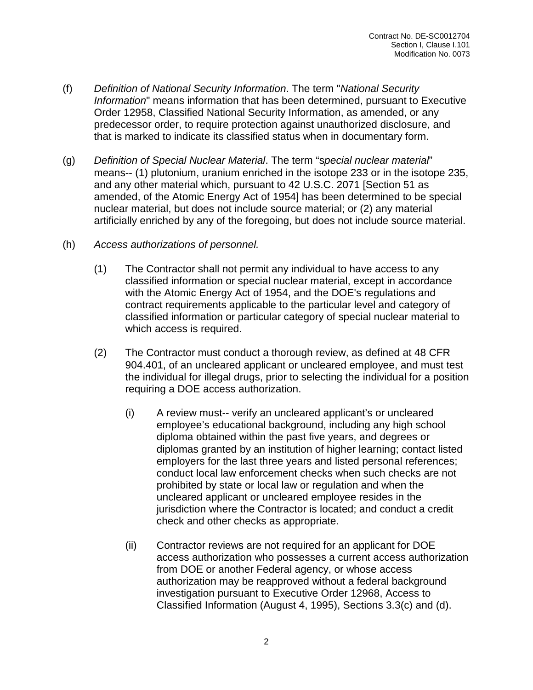- (f) *Definition of National Security Information*. The term "*National Security Information*" means information that has been determined, pursuant to Executive Order 12958, Classified National Security Information, as amended, or any predecessor order, to require protection against unauthorized disclosure, and that is marked to indicate its classified status when in documentary form.
- (g) *Definition of Special Nuclear Material*. The term "s*pecial nuclear material*" means-- (1) plutonium, uranium enriched in the isotope 233 or in the isotope 235, and any other material which, pursuant to 42 U.S.C. 2071 [Section 51 as amended, of the Atomic Energy Act of 1954] has been determined to be special nuclear material, but does not include source material; or (2) any material artificially enriched by any of the foregoing, but does not include source material.
- (h) *Access authorizations of personnel.* 
	- (1) The Contractor shall not permit any individual to have access to any classified information or special nuclear material, except in accordance with the Atomic Energy Act of 1954, and the DOE's regulations and contract requirements applicable to the particular level and category of classified information or particular category of special nuclear material to which access is required.
	- (2) The Contractor must conduct a thorough review, as defined at 48 CFR 904.401, of an uncleared applicant or uncleared employee, and must test the individual for illegal drugs, prior to selecting the individual for a position requiring a DOE access authorization.
		- (i) A review must-- verify an uncleared applicant's or uncleared employee's educational background, including any high school diploma obtained within the past five years, and degrees or diplomas granted by an institution of higher learning; contact listed employers for the last three years and listed personal references; conduct local law enforcement checks when such checks are not prohibited by state or local law or regulation and when the uncleared applicant or uncleared employee resides in the jurisdiction where the Contractor is located; and conduct a credit check and other checks as appropriate.
		- (ii) Contractor reviews are not required for an applicant for DOE access authorization who possesses a current access authorization from DOE or another Federal agency, or whose access authorization may be reapproved without a federal background investigation pursuant to Executive Order 12968, Access to Classified Information (August 4, 1995), Sections 3.3(c) and (d).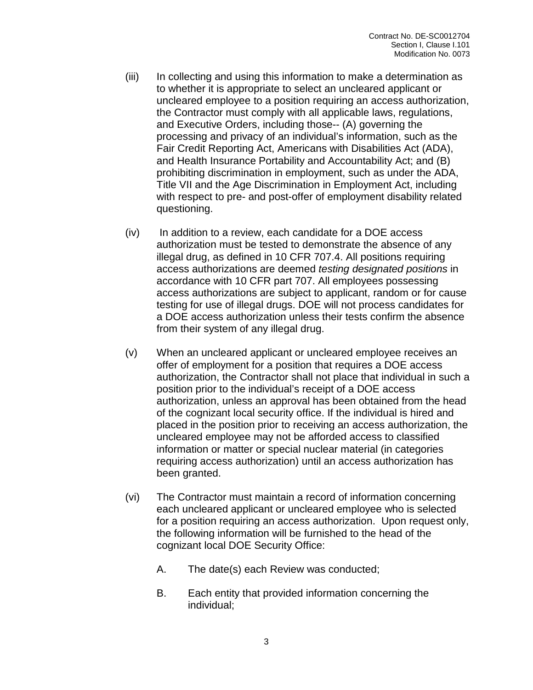- (iii) In collecting and using this information to make a determination as to whether it is appropriate to select an uncleared applicant or uncleared employee to a position requiring an access authorization, the Contractor must comply with all applicable laws, regulations, and Executive Orders, including those-- (A) governing the processing and privacy of an individual's information, such as the Fair Credit Reporting Act, Americans with Disabilities Act (ADA), and Health Insurance Portability and Accountability Act; and (B) prohibiting discrimination in employment, such as under the ADA, Title VII and the Age Discrimination in Employment Act, including with respect to pre- and post-offer of employment disability related questioning.
- (iv) In addition to a review, each candidate for a DOE access authorization must be tested to demonstrate the absence of any illegal drug, as defined in 10 CFR 707.4. All positions requiring access authorizations are deemed *testing designated positions* in accordance with 10 CFR part 707. All employees possessing access authorizations are subject to applicant, random or for cause testing for use of illegal drugs. DOE will not process candidates for a DOE access authorization unless their tests confirm the absence from their system of any illegal drug.
- (v) When an uncleared applicant or uncleared employee receives an offer of employment for a position that requires a DOE access authorization, the Contractor shall not place that individual in such a position prior to the individual's receipt of a DOE access authorization, unless an approval has been obtained from the head of the cognizant local security office. If the individual is hired and placed in the position prior to receiving an access authorization, the uncleared employee may not be afforded access to classified information or matter or special nuclear material (in categories requiring access authorization) until an access authorization has been granted.
- (vi) The Contractor must maintain a record of information concerning each uncleared applicant or uncleared employee who is selected for a position requiring an access authorization. Upon request only, the following information will be furnished to the head of the cognizant local DOE Security Office:
	- A. The date(s) each Review was conducted;
	- B. Each entity that provided information concerning the individual;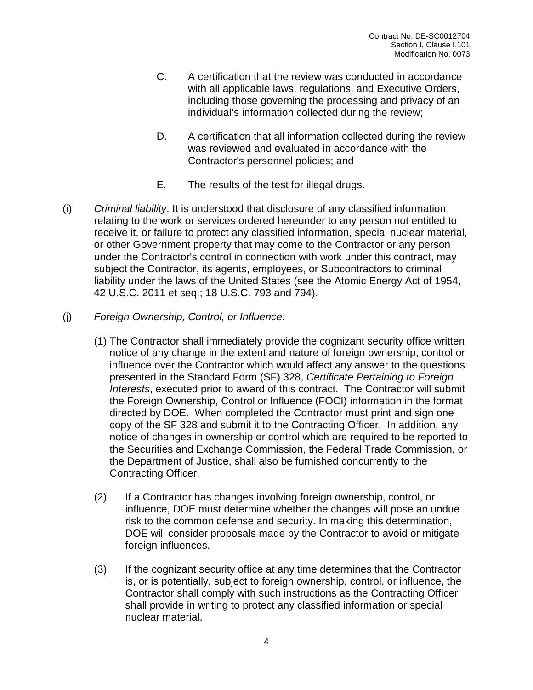- C. A certification that the review was conducted in accordance with all applicable laws, regulations, and Executive Orders, including those governing the processing and privacy of an individual's information collected during the review;
- D. A certification that all information collected during the review was reviewed and evaluated in accordance with the Contractor's personnel policies; and
- E. The results of the test for illegal drugs.
- (i) *Criminal liability*. It is understood that disclosure of any classified information relating to the work or services ordered hereunder to any person not entitled to receive it, or failure to protect any classified information, special nuclear material, or other Government property that may come to the Contractor or any person under the Contractor's control in connection with work under this contract, may subject the Contractor, its agents, employees, or Subcontractors to criminal liability under the laws of the United States (see the Atomic Energy Act of 1954, 42 U.S.C. 2011 et seq.; 18 U.S.C. 793 and 794).
- (j) *Foreign Ownership, Control, or Influence.* 
	- (1) The Contractor shall immediately provide the cognizant security office written notice of any change in the extent and nature of foreign ownership, control or influence over the Contractor which would affect any answer to the questions presented in the Standard Form (SF) 328, *Certificate Pertaining to Foreign Interests*, executed prior to award of this contract. The Contractor will submit the Foreign Ownership, Control or Influence (FOCI) information in the format directed by DOE. When completed the Contractor must print and sign one copy of the SF 328 and submit it to the Contracting Officer. In addition, any notice of changes in ownership or control which are required to be reported to the Securities and Exchange Commission, the Federal Trade Commission, or the Department of Justice, shall also be furnished concurrently to the Contracting Officer.
	- (2) If a Contractor has changes involving foreign ownership, control, or influence, DOE must determine whether the changes will pose an undue risk to the common defense and security. In making this determination, DOE will consider proposals made by the Contractor to avoid or mitigate foreign influences.
	- (3) If the cognizant security office at any time determines that the Contractor is, or is potentially, subject to foreign ownership, control, or influence, the Contractor shall comply with such instructions as the Contracting Officer shall provide in writing to protect any classified information or special nuclear material.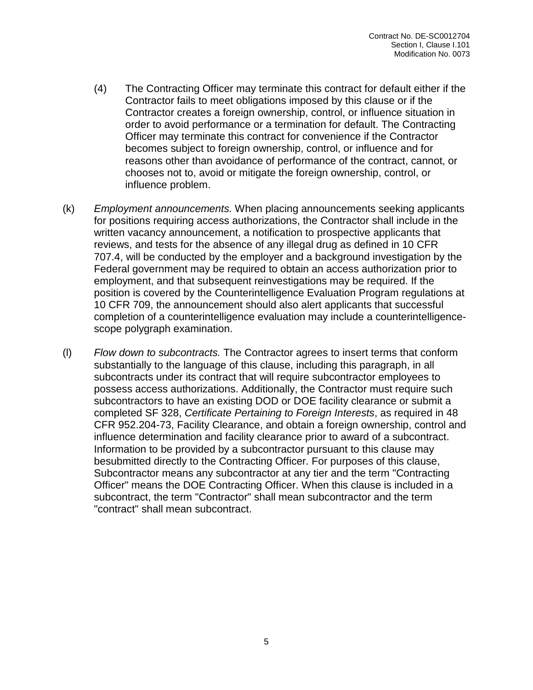- (4) The Contracting Officer may terminate this contract for default either if the Contractor fails to meet obligations imposed by this clause or if the Contractor creates a foreign ownership, control, or influence situation in order to avoid performance or a termination for default. The Contracting Officer may terminate this contract for convenience if the Contractor becomes subject to foreign ownership, control, or influence and for reasons other than avoidance of performance of the contract, cannot, or chooses not to, avoid or mitigate the foreign ownership, control, or influence problem.
- (k) *Employment announcements.* When placing announcements seeking applicants for positions requiring access authorizations, the Contractor shall include in the written vacancy announcement, a notification to prospective applicants that reviews, and tests for the absence of any illegal drug as defined in 10 CFR 707.4, will be conducted by the employer and a background investigation by the Federal government may be required to obtain an access authorization prior to employment, and that subsequent reinvestigations may be required. If the position is covered by the Counterintelligence Evaluation Program regulations at 10 CFR 709, the announcement should also alert applicants that successful completion of a counterintelligence evaluation may include a counterintelligencescope polygraph examination.
- (l) *Flow down to subcontracts.* The Contractor agrees to insert terms that conform substantially to the language of this clause, including this paragraph, in all subcontracts under its contract that will require subcontractor employees to possess access authorizations. Additionally, the Contractor must require such subcontractors to have an existing DOD or DOE facility clearance or submit a completed SF 328, *Certificate Pertaining to Foreign Interests*, as required in 48 CFR 952.204-73, Facility Clearance, and obtain a foreign ownership, control and influence determination and facility clearance prior to award of a subcontract. Information to be provided by a subcontractor pursuant to this clause may besubmitted directly to the Contracting Officer. For purposes of this clause, Subcontractor means any subcontractor at any tier and the term "Contracting Officer" means the DOE Contracting Officer. When this clause is included in a subcontract, the term "Contractor" shall mean subcontractor and the term "contract" shall mean subcontract.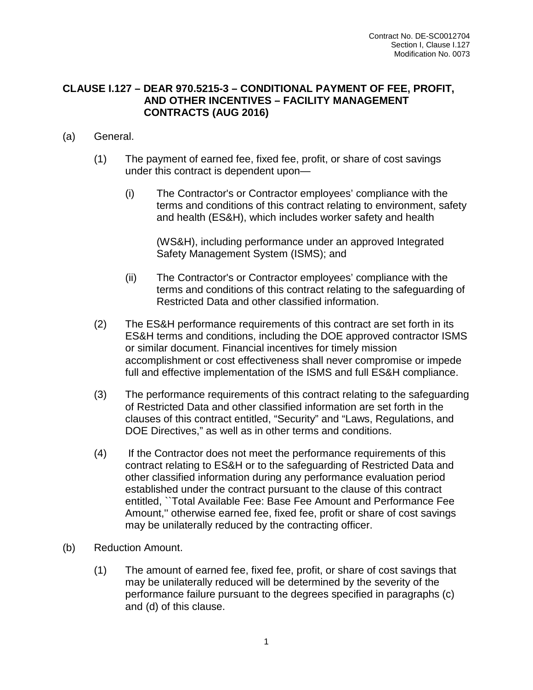### **CLAUSE I.127 – DEAR 970.5215-3 – CONDITIONAL PAYMENT OF FEE, PROFIT, AND OTHER INCENTIVES – FACILITY MANAGEMENT CONTRACTS (AUG 2016)**

### (a) General.

- (1) The payment of earned fee, fixed fee, profit, or share of cost savings under this contract is dependent upon—
	- (i) The Contractor's or Contractor employees' compliance with the terms and conditions of this contract relating to environment, safety and health (ES&H), which includes worker safety and health

(WS&H), including performance under an approved Integrated Safety Management System (ISMS); and

- (ii) The Contractor's or Contractor employees' compliance with the terms and conditions of this contract relating to the safeguarding of Restricted Data and other classified information.
- (2) The ES&H performance requirements of this contract are set forth in its ES&H terms and conditions, including the DOE approved contractor ISMS or similar document. Financial incentives for timely mission accomplishment or cost effectiveness shall never compromise or impede full and effective implementation of the ISMS and full ES&H compliance.
- (3) The performance requirements of this contract relating to the safeguarding of Restricted Data and other classified information are set forth in the clauses of this contract entitled, "Security" and "Laws, Regulations, and DOE Directives," as well as in other terms and conditions.
- (4) If the Contractor does not meet the performance requirements of this contract relating to ES&H or to the safeguarding of Restricted Data and other classified information during any performance evaluation period established under the contract pursuant to the clause of this contract entitled, ``Total Available Fee: Base Fee Amount and Performance Fee Amount,'' otherwise earned fee, fixed fee, profit or share of cost savings may be unilaterally reduced by the contracting officer.
- (b) Reduction Amount.
	- (1) The amount of earned fee, fixed fee, profit, or share of cost savings that may be unilaterally reduced will be determined by the severity of the performance failure pursuant to the degrees specified in paragraphs (c) and (d) of this clause.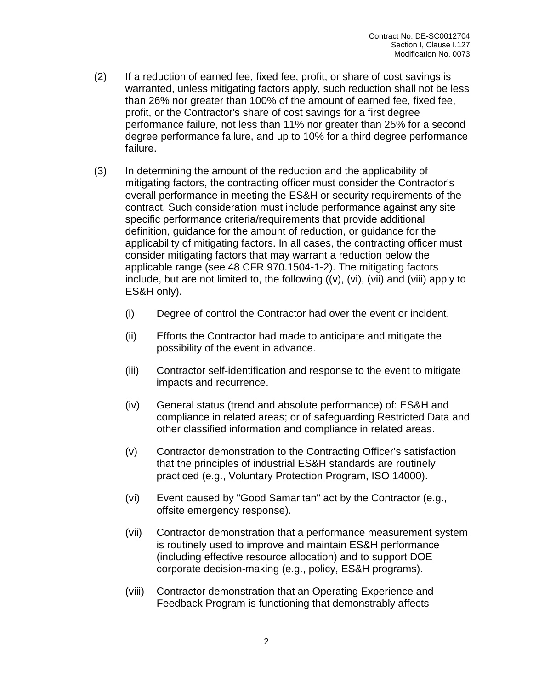- (2) If a reduction of earned fee, fixed fee, profit, or share of cost savings is warranted, unless mitigating factors apply, such reduction shall not be less than 26% nor greater than 100% of the amount of earned fee, fixed fee, profit, or the Contractor's share of cost savings for a first degree performance failure, not less than 11% nor greater than 25% for a second degree performance failure, and up to 10% for a third degree performance failure.
- (3) In determining the amount of the reduction and the applicability of mitigating factors, the contracting officer must consider the Contractor's overall performance in meeting the ES&H or security requirements of the contract. Such consideration must include performance against any site specific performance criteria/requirements that provide additional definition, guidance for the amount of reduction, or guidance for the applicability of mitigating factors. In all cases, the contracting officer must consider mitigating factors that may warrant a reduction below the applicable range (see 48 CFR 970.1504-1-2). The mitigating factors include, but are not limited to, the following  $((v), (vi), (vii)$  and  $(viii)$  apply to ES&H only).
	- (i) Degree of control the Contractor had over the event or incident.
	- (ii) Efforts the Contractor had made to anticipate and mitigate the possibility of the event in advance.
	- (iii) Contractor self-identification and response to the event to mitigate impacts and recurrence.
	- (iv) General status (trend and absolute performance) of: ES&H and compliance in related areas; or of safeguarding Restricted Data and other classified information and compliance in related areas.
	- (v) Contractor demonstration to the Contracting Officer's satisfaction that the principles of industrial ES&H standards are routinely practiced (e.g., Voluntary Protection Program, ISO 14000).
	- (vi) Event caused by "Good Samaritan" act by the Contractor (e.g., offsite emergency response).
	- (vii) Contractor demonstration that a performance measurement system is routinely used to improve and maintain ES&H performance (including effective resource allocation) and to support DOE corporate decision-making (e.g., policy, ES&H programs).
	- (viii) Contractor demonstration that an Operating Experience and Feedback Program is functioning that demonstrably affects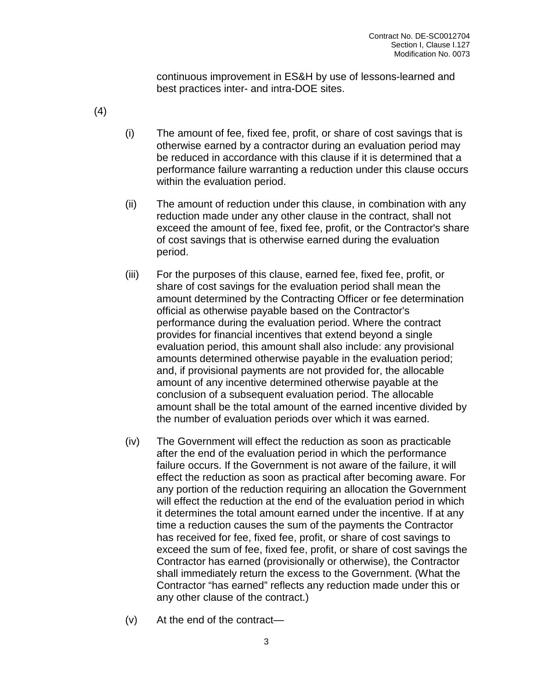continuous improvement in ES&H by use of lessons-learned and best practices inter- and intra-DOE sites.

- (4)
- (i) The amount of fee, fixed fee, profit, or share of cost savings that is otherwise earned by a contractor during an evaluation period may be reduced in accordance with this clause if it is determined that a performance failure warranting a reduction under this clause occurs within the evaluation period.
- (ii) The amount of reduction under this clause, in combination with any reduction made under any other clause in the contract, shall not exceed the amount of fee, fixed fee, profit, or the Contractor's share of cost savings that is otherwise earned during the evaluation period.
- (iii) For the purposes of this clause, earned fee, fixed fee, profit, or share of cost savings for the evaluation period shall mean the amount determined by the Contracting Officer or fee determination official as otherwise payable based on the Contractor's performance during the evaluation period. Where the contract provides for financial incentives that extend beyond a single evaluation period, this amount shall also include: any provisional amounts determined otherwise payable in the evaluation period; and, if provisional payments are not provided for, the allocable amount of any incentive determined otherwise payable at the conclusion of a subsequent evaluation period. The allocable amount shall be the total amount of the earned incentive divided by the number of evaluation periods over which it was earned.
- (iv) The Government will effect the reduction as soon as practicable after the end of the evaluation period in which the performance failure occurs. If the Government is not aware of the failure, it will effect the reduction as soon as practical after becoming aware. For any portion of the reduction requiring an allocation the Government will effect the reduction at the end of the evaluation period in which it determines the total amount earned under the incentive. If at any time a reduction causes the sum of the payments the Contractor has received for fee, fixed fee, profit, or share of cost savings to exceed the sum of fee, fixed fee, profit, or share of cost savings the Contractor has earned (provisionally or otherwise), the Contractor shall immediately return the excess to the Government. (What the Contractor "has earned" reflects any reduction made under this or any other clause of the contract.)
- (v) At the end of the contract—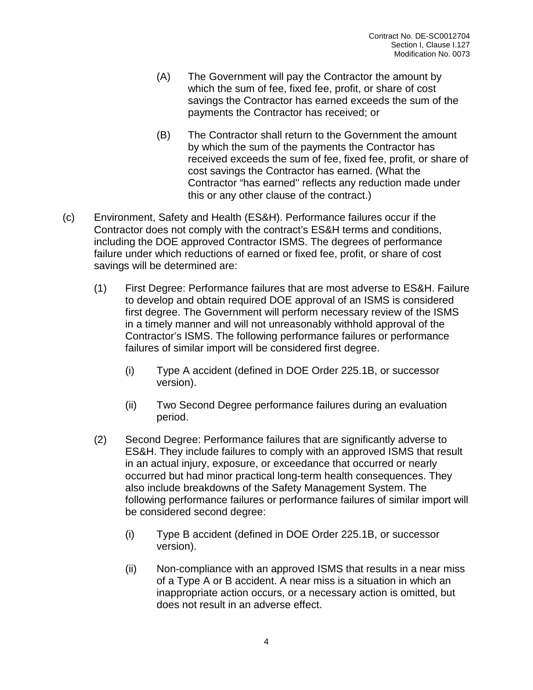- (A) The Government will pay the Contractor the amount by which the sum of fee, fixed fee, profit, or share of cost savings the Contractor has earned exceeds the sum of the payments the Contractor has received; or
- (B) The Contractor shall return to the Government the amount by which the sum of the payments the Contractor has received exceeds the sum of fee, fixed fee, profit, or share of cost savings the Contractor has earned. (What the Contractor "has earned'' reflects any reduction made under this or any other clause of the contract.)
- (c) Environment, Safety and Health (ES&H). Performance failures occur if the Contractor does not comply with the contract's ES&H terms and conditions, including the DOE approved Contractor ISMS. The degrees of performance failure under which reductions of earned or fixed fee, profit, or share of cost savings will be determined are:
	- (1) First Degree: Performance failures that are most adverse to ES&H. Failure to develop and obtain required DOE approval of an ISMS is considered first degree. The Government will perform necessary review of the ISMS in a timely manner and will not unreasonably withhold approval of the Contractor's ISMS. The following performance failures or performance failures of similar import will be considered first degree.
		- (i) Type A accident (defined in DOE Order 225.1B, or successor version).
		- (ii) Two Second Degree performance failures during an evaluation period.
	- (2) Second Degree: Performance failures that are significantly adverse to ES&H. They include failures to comply with an approved ISMS that result in an actual injury, exposure, or exceedance that occurred or nearly occurred but had minor practical long-term health consequences. They also include breakdowns of the Safety Management System. The following performance failures or performance failures of similar import will be considered second degree:
		- (i) Type B accident (defined in DOE Order 225.1B, or successor version).
		- (ii) Non-compliance with an approved ISMS that results in a near miss of a Type A or B accident. A near miss is a situation in which an inappropriate action occurs, or a necessary action is omitted, but does not result in an adverse effect.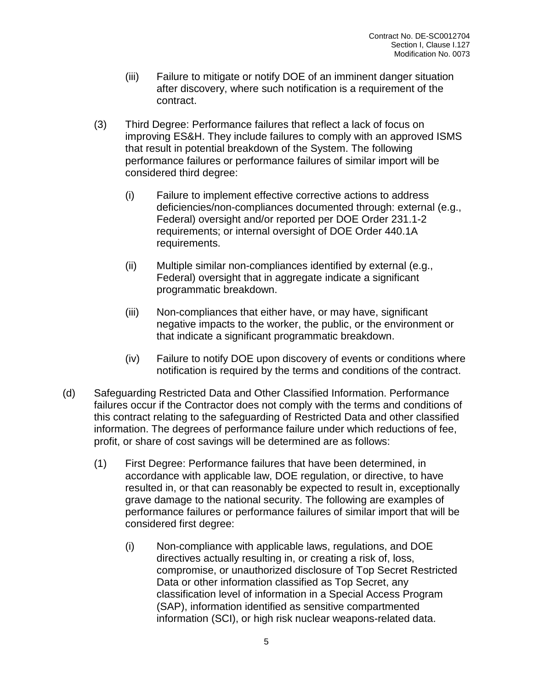- (iii) Failure to mitigate or notify DOE of an imminent danger situation after discovery, where such notification is a requirement of the contract.
- (3) Third Degree: Performance failures that reflect a lack of focus on improving ES&H. They include failures to comply with an approved ISMS that result in potential breakdown of the System. The following performance failures or performance failures of similar import will be considered third degree:
	- (i) Failure to implement effective corrective actions to address deficiencies/non-compliances documented through: external (e.g., Federal) oversight and/or reported per DOE Order 231.1-2 requirements; or internal oversight of DOE Order 440.1A requirements.
	- (ii) Multiple similar non-compliances identified by external (e.g., Federal) oversight that in aggregate indicate a significant programmatic breakdown.
	- (iii) Non-compliances that either have, or may have, significant negative impacts to the worker, the public, or the environment or that indicate a significant programmatic breakdown.
	- (iv) Failure to notify DOE upon discovery of events or conditions where notification is required by the terms and conditions of the contract.
- (d) Safeguarding Restricted Data and Other Classified Information. Performance failures occur if the Contractor does not comply with the terms and conditions of this contract relating to the safeguarding of Restricted Data and other classified information. The degrees of performance failure under which reductions of fee, profit, or share of cost savings will be determined are as follows:
	- (1) First Degree: Performance failures that have been determined, in accordance with applicable law, DOE regulation, or directive, to have resulted in, or that can reasonably be expected to result in, exceptionally grave damage to the national security. The following are examples of performance failures or performance failures of similar import that will be considered first degree:
		- (i) Non-compliance with applicable laws, regulations, and DOE directives actually resulting in, or creating a risk of, loss, compromise, or unauthorized disclosure of Top Secret Restricted Data or other information classified as Top Secret, any classification level of information in a Special Access Program (SAP), information identified as sensitive compartmented information (SCI), or high risk nuclear weapons-related data.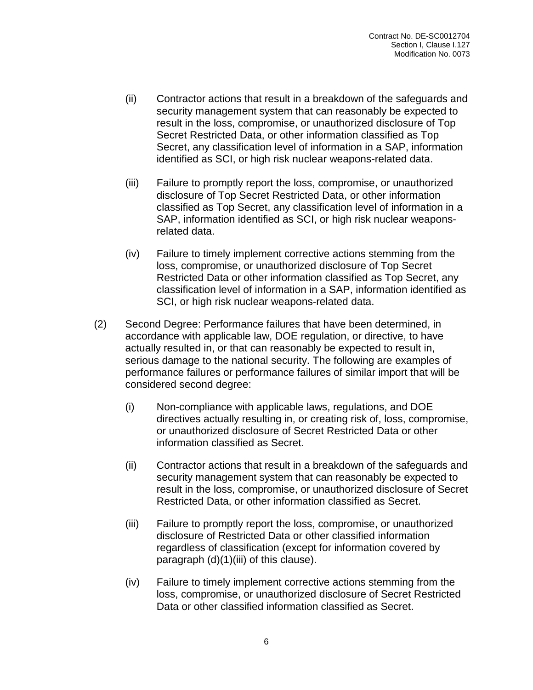- (ii) Contractor actions that result in a breakdown of the safeguards and security management system that can reasonably be expected to result in the loss, compromise, or unauthorized disclosure of Top Secret Restricted Data, or other information classified as Top Secret, any classification level of information in a SAP, information identified as SCI, or high risk nuclear weapons-related data.
- (iii) Failure to promptly report the loss, compromise, or unauthorized disclosure of Top Secret Restricted Data, or other information classified as Top Secret, any classification level of information in a SAP, information identified as SCI, or high risk nuclear weaponsrelated data.
- (iv) Failure to timely implement corrective actions stemming from the loss, compromise, or unauthorized disclosure of Top Secret Restricted Data or other information classified as Top Secret, any classification level of information in a SAP, information identified as SCI, or high risk nuclear weapons-related data.
- (2) Second Degree: Performance failures that have been determined, in accordance with applicable law, DOE regulation, or directive, to have actually resulted in, or that can reasonably be expected to result in, serious damage to the national security. The following are examples of performance failures or performance failures of similar import that will be considered second degree:
	- (i) Non-compliance with applicable laws, regulations, and DOE directives actually resulting in, or creating risk of, loss, compromise, or unauthorized disclosure of Secret Restricted Data or other information classified as Secret.
	- (ii) Contractor actions that result in a breakdown of the safeguards and security management system that can reasonably be expected to result in the loss, compromise, or unauthorized disclosure of Secret Restricted Data, or other information classified as Secret.
	- (iii) Failure to promptly report the loss, compromise, or unauthorized disclosure of Restricted Data or other classified information regardless of classification (except for information covered by paragraph (d)(1)(iii) of this clause).
	- (iv) Failure to timely implement corrective actions stemming from the loss, compromise, or unauthorized disclosure of Secret Restricted Data or other classified information classified as Secret.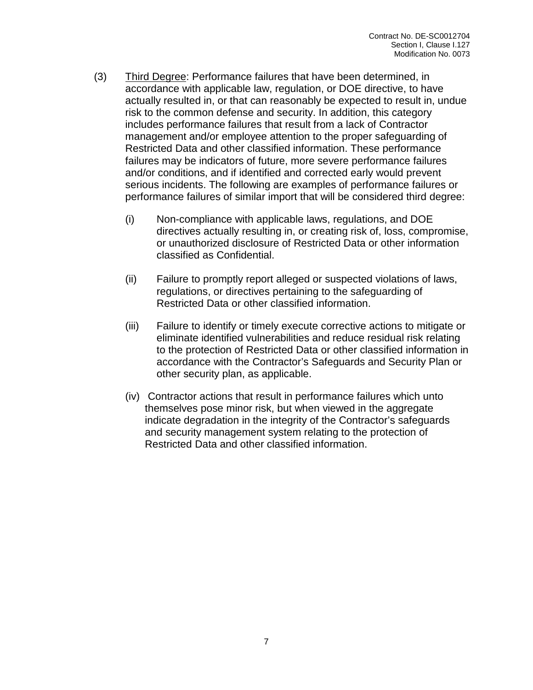- (3) Third Degree: Performance failures that have been determined, in accordance with applicable law, regulation, or DOE directive, to have actually resulted in, or that can reasonably be expected to result in, undue risk to the common defense and security. In addition, this category includes performance failures that result from a lack of Contractor management and/or employee attention to the proper safeguarding of Restricted Data and other classified information. These performance failures may be indicators of future, more severe performance failures and/or conditions, and if identified and corrected early would prevent serious incidents. The following are examples of performance failures or performance failures of similar import that will be considered third degree:
	- (i) Non-compliance with applicable laws, regulations, and DOE directives actually resulting in, or creating risk of, loss, compromise, or unauthorized disclosure of Restricted Data or other information classified as Confidential.
	- (ii) Failure to promptly report alleged or suspected violations of laws, regulations, or directives pertaining to the safeguarding of Restricted Data or other classified information.
	- (iii) Failure to identify or timely execute corrective actions to mitigate or eliminate identified vulnerabilities and reduce residual risk relating to the protection of Restricted Data or other classified information in accordance with the Contractor's Safeguards and Security Plan or other security plan, as applicable.
	- (iv) Contractor actions that result in performance failures which unto themselves pose minor risk, but when viewed in the aggregate indicate degradation in the integrity of the Contractor's safeguards and security management system relating to the protection of Restricted Data and other classified information.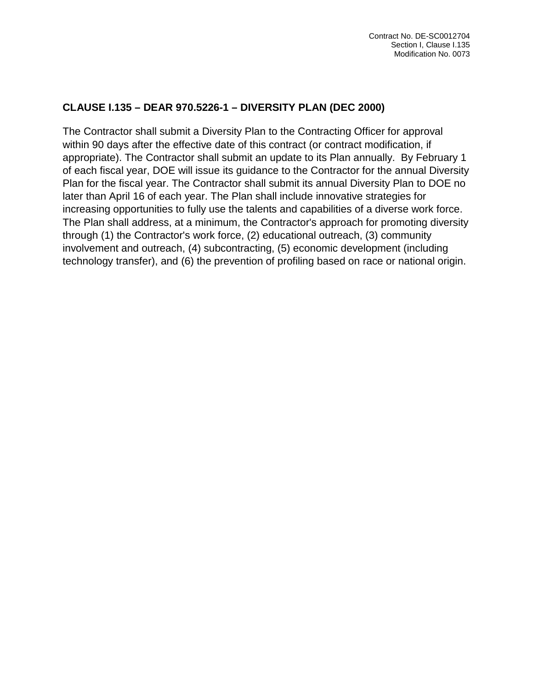### **CLAUSE I.135 – DEAR 970.5226-1 – DIVERSITY PLAN (DEC 2000)**

The Contractor shall submit a Diversity Plan to the Contracting Officer for approval within 90 days after the effective date of this contract (or contract modification, if appropriate). The Contractor shall submit an update to its Plan annually. By February 1 of each fiscal year, DOE will issue its guidance to the Contractor for the annual Diversity Plan for the fiscal year. The Contractor shall submit its annual Diversity Plan to DOE no later than April 16 of each year. The Plan shall include innovative strategies for increasing opportunities to fully use the talents and capabilities of a diverse work force. The Plan shall address, at a minimum, the Contractor's approach for promoting diversity through (1) the Contractor's work force, (2) educational outreach, (3) community involvement and outreach, (4) subcontracting, (5) economic development (including technology transfer), and (6) the prevention of profiling based on race or national origin.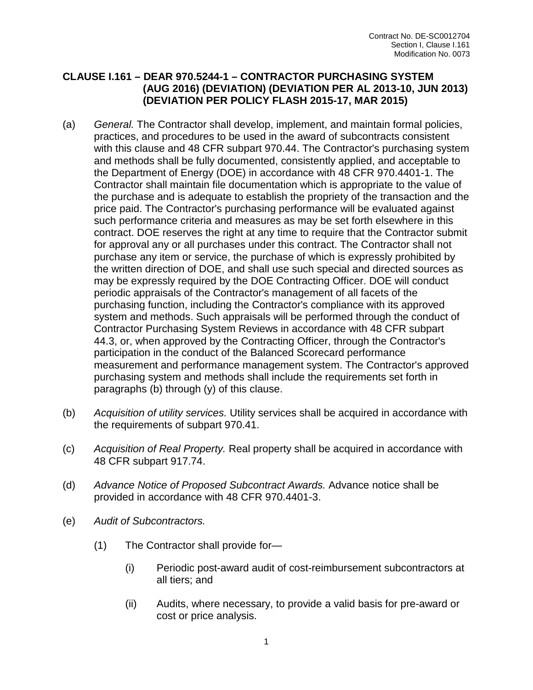#### **CLAUSE I.161 – DEAR 970.5244-1 – CONTRACTOR PURCHASING SYSTEM (AUG 2016) (DEVIATION) (DEVIATION PER AL 2013-10, JUN 2013) (DEVIATION PER POLICY FLASH 2015-17, MAR 2015)**

- (a) *General.* The Contractor shall develop, implement, and maintain formal policies, practices, and procedures to be used in the award of subcontracts consistent with this clause and 48 CFR subpart 970.44. The Contractor's purchasing system and methods shall be fully documented, consistently applied, and acceptable to the Department of Energy (DOE) in accordance with 48 CFR 970.4401-1. The Contractor shall maintain file documentation which is appropriate to the value of the purchase and is adequate to establish the propriety of the transaction and the price paid. The Contractor's purchasing performance will be evaluated against such performance criteria and measures as may be set forth elsewhere in this contract. DOE reserves the right at any time to require that the Contractor submit for approval any or all purchases under this contract. The Contractor shall not purchase any item or service, the purchase of which is expressly prohibited by the written direction of DOE, and shall use such special and directed sources as may be expressly required by the DOE Contracting Officer. DOE will conduct periodic appraisals of the Contractor's management of all facets of the purchasing function, including the Contractor's compliance with its approved system and methods. Such appraisals will be performed through the conduct of Contractor Purchasing System Reviews in accordance with 48 CFR subpart 44.3, or, when approved by the Contracting Officer, through the Contractor's participation in the conduct of the Balanced Scorecard performance measurement and performance management system. The Contractor's approved purchasing system and methods shall include the requirements set forth in paragraphs (b) through (y) of this clause.
- (b) *Acquisition of utility services.* Utility services shall be acquired in accordance with the requirements of subpart 970.41.
- (c) *Acquisition of Real Property.* Real property shall be acquired in accordance with 48 CFR subpart 917.74.
- (d) *Advance Notice of Proposed Subcontract Awards.* Advance notice shall be provided in accordance with 48 CFR 970.4401-3.
- (e) *Audit of Subcontractors.*
	- (1) The Contractor shall provide for—
		- (i) Periodic post-award audit of cost-reimbursement subcontractors at all tiers; and
		- (ii) Audits, where necessary, to provide a valid basis for pre-award or cost or price analysis.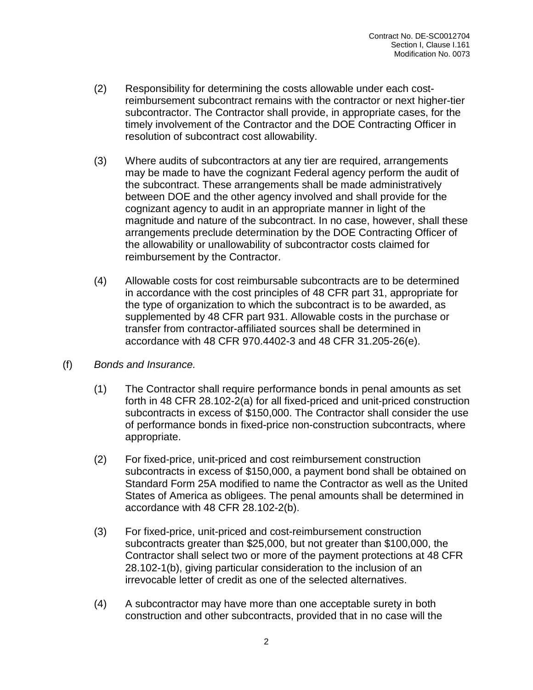- (2) Responsibility for determining the costs allowable under each costreimbursement subcontract remains with the contractor or next higher-tier subcontractor. The Contractor shall provide, in appropriate cases, for the timely involvement of the Contractor and the DOE Contracting Officer in resolution of subcontract cost allowability.
- (3) Where audits of subcontractors at any tier are required, arrangements may be made to have the cognizant Federal agency perform the audit of the subcontract. These arrangements shall be made administratively between DOE and the other agency involved and shall provide for the cognizant agency to audit in an appropriate manner in light of the magnitude and nature of the subcontract. In no case, however, shall these arrangements preclude determination by the DOE Contracting Officer of the allowability or unallowability of subcontractor costs claimed for reimbursement by the Contractor.
- (4) Allowable costs for cost reimbursable subcontracts are to be determined in accordance with the cost principles of 48 CFR part 31, appropriate for the type of organization to which the subcontract is to be awarded, as supplemented by 48 CFR part 931. Allowable costs in the purchase or transfer from contractor-affiliated sources shall be determined in accordance with 48 CFR 970.4402-3 and 48 CFR 31.205-26(e).
- (f) *Bonds and Insurance.*
	- (1) The Contractor shall require performance bonds in penal amounts as set forth in 48 CFR 28.102-2(a) for all fixed-priced and unit-priced construction subcontracts in excess of \$150,000. The Contractor shall consider the use of performance bonds in fixed-price non-construction subcontracts, where appropriate.
	- (2) For fixed-price, unit-priced and cost reimbursement construction subcontracts in excess of \$150,000, a payment bond shall be obtained on Standard Form 25A modified to name the Contractor as well as the United States of America as obligees. The penal amounts shall be determined in accordance with 48 CFR 28.102-2(b).
	- (3) For fixed-price, unit-priced and cost-reimbursement construction subcontracts greater than \$25,000, but not greater than \$100,000, the Contractor shall select two or more of the payment protections at 48 CFR 28.102-1(b), giving particular consideration to the inclusion of an irrevocable letter of credit as one of the selected alternatives.
	- (4) A subcontractor may have more than one acceptable surety in both construction and other subcontracts, provided that in no case will the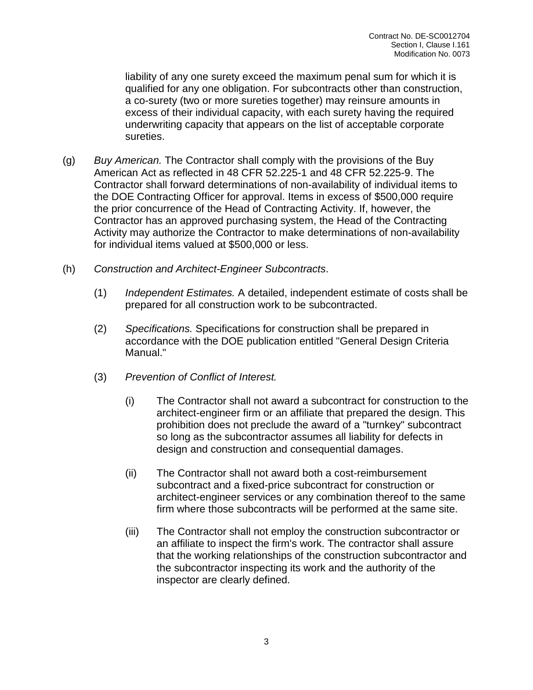liability of any one surety exceed the maximum penal sum for which it is qualified for any one obligation. For subcontracts other than construction, a co-surety (two or more sureties together) may reinsure amounts in excess of their individual capacity, with each surety having the required underwriting capacity that appears on the list of acceptable corporate sureties.

- (g) *Buy American.* The Contractor shall comply with the provisions of the Buy American Act as reflected in 48 CFR 52.225-1 and 48 CFR 52.225-9. The Contractor shall forward determinations of non-availability of individual items to the DOE Contracting Officer for approval. Items in excess of \$500,000 require the prior concurrence of the Head of Contracting Activity. If, however, the Contractor has an approved purchasing system, the Head of the Contracting Activity may authorize the Contractor to make determinations of non-availability for individual items valued at \$500,000 or less.
- (h) *Construction and Architect-Engineer Subcontracts*.
	- (1) *Independent Estimates.* A detailed, independent estimate of costs shall be prepared for all construction work to be subcontracted.
	- (2) *Specifications.* Specifications for construction shall be prepared in accordance with the DOE publication entitled "General Design Criteria Manual."
	- (3) *Prevention of Conflict of Interest.*
		- (i) The Contractor shall not award a subcontract for construction to the architect-engineer firm or an affiliate that prepared the design. This prohibition does not preclude the award of a "turnkey" subcontract so long as the subcontractor assumes all liability for defects in design and construction and consequential damages.
		- (ii) The Contractor shall not award both a cost-reimbursement subcontract and a fixed-price subcontract for construction or architect-engineer services or any combination thereof to the same firm where those subcontracts will be performed at the same site.
		- (iii) The Contractor shall not employ the construction subcontractor or an affiliate to inspect the firm's work. The contractor shall assure that the working relationships of the construction subcontractor and the subcontractor inspecting its work and the authority of the inspector are clearly defined.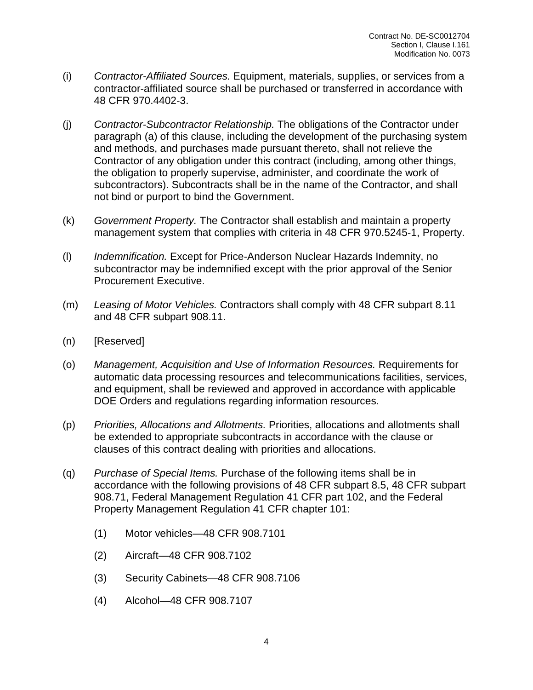- (i) *Contractor-Affiliated Sources.* Equipment, materials, supplies, or services from a contractor-affiliated source shall be purchased or transferred in accordance with 48 CFR 970.4402-3.
- (j) *Contractor-Subcontractor Relationship.* The obligations of the Contractor under paragraph (a) of this clause, including the development of the purchasing system and methods, and purchases made pursuant thereto, shall not relieve the Contractor of any obligation under this contract (including, among other things, the obligation to properly supervise, administer, and coordinate the work of subcontractors). Subcontracts shall be in the name of the Contractor, and shall not bind or purport to bind the Government.
- (k) *Government Property.* The Contractor shall establish and maintain a property management system that complies with criteria in 48 CFR 970.5245-1, Property.
- (l) *Indemnification.* Except for Price-Anderson Nuclear Hazards Indemnity, no subcontractor may be indemnified except with the prior approval of the Senior Procurement Executive.
- (m) *Leasing of Motor Vehicles.* Contractors shall comply with 48 CFR subpart 8.11 and 48 CFR subpart 908.11.
- (n) [Reserved]
- (o) *Management, Acquisition and Use of Information Resources.* Requirements for automatic data processing resources and telecommunications facilities, services, and equipment, shall be reviewed and approved in accordance with applicable DOE Orders and regulations regarding information resources.
- (p) *Priorities, Allocations and Allotments.* Priorities, allocations and allotments shall be extended to appropriate subcontracts in accordance with the clause or clauses of this contract dealing with priorities and allocations.
- (q) *Purchase of Special Items.* Purchase of the following items shall be in accordance with the following provisions of 48 CFR subpart 8.5, 48 CFR subpart 908.71, Federal Management Regulation 41 CFR part 102, and the Federal Property Management Regulation 41 CFR chapter 101:
	- (1) Motor vehicles—48 CFR 908.7101
	- (2) Aircraft—48 CFR 908.7102
	- (3) Security Cabinets—48 CFR 908.7106
	- (4) Alcohol—48 CFR 908.7107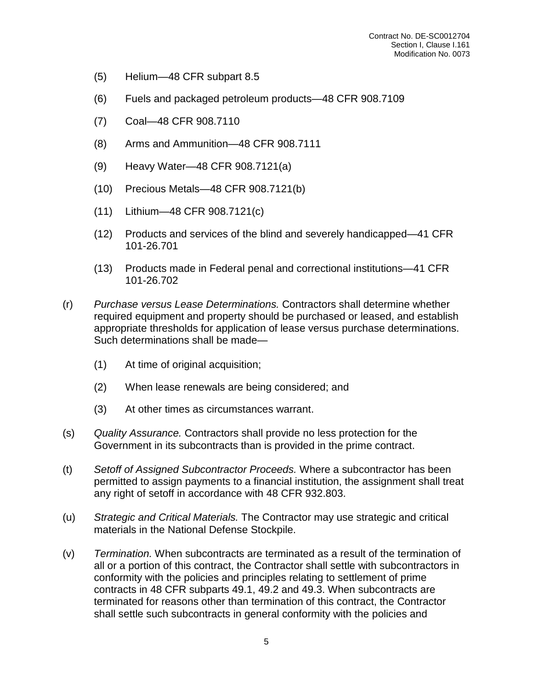- (5) Helium—48 CFR subpart 8.5
- (6) Fuels and packaged petroleum products—48 CFR 908.7109
- (7) Coal—48 CFR 908.7110
- (8) Arms and Ammunition—48 CFR 908.7111
- (9) Heavy Water—48 CFR 908.7121(a)
- (10) Precious Metals—48 CFR 908.7121(b)
- (11) Lithium—48 CFR 908.7121(c)
- (12) Products and services of the blind and severely handicapped—41 CFR 101-26.701
- (13) Products made in Federal penal and correctional institutions—41 CFR 101-26.702
- (r) *Purchase versus Lease Determinations.* Contractors shall determine whether required equipment and property should be purchased or leased, and establish appropriate thresholds for application of lease versus purchase determinations. Such determinations shall be made—
	- (1) At time of original acquisition;
	- (2) When lease renewals are being considered; and
	- (3) At other times as circumstances warrant.
- (s) *Quality Assurance.* Contractors shall provide no less protection for the Government in its subcontracts than is provided in the prime contract.
- (t) *Setoff of Assigned Subcontractor Proceeds.* Where a subcontractor has been permitted to assign payments to a financial institution, the assignment shall treat any right of setoff in accordance with 48 CFR 932.803.
- (u) *Strategic and Critical Materials.* The Contractor may use strategic and critical materials in the National Defense Stockpile.
- (v) *Termination.* When subcontracts are terminated as a result of the termination of all or a portion of this contract, the Contractor shall settle with subcontractors in conformity with the policies and principles relating to settlement of prime contracts in 48 CFR subparts 49.1, 49.2 and 49.3. When subcontracts are terminated for reasons other than termination of this contract, the Contractor shall settle such subcontracts in general conformity with the policies and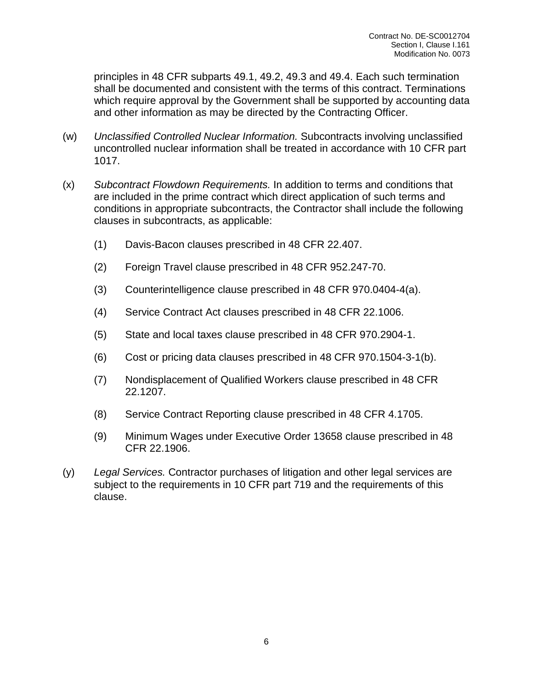principles in 48 CFR subparts 49.1, 49.2, 49.3 and 49.4. Each such termination shall be documented and consistent with the terms of this contract. Terminations which require approval by the Government shall be supported by accounting data and other information as may be directed by the Contracting Officer.

- (w) *Unclassified Controlled Nuclear Information.* Subcontracts involving unclassified uncontrolled nuclear information shall be treated in accordance with 10 CFR part 1017.
- (x) *Subcontract Flowdown Requirements.* In addition to terms and conditions that are included in the prime contract which direct application of such terms and conditions in appropriate subcontracts, the Contractor shall include the following clauses in subcontracts, as applicable:
	- (1) Davis-Bacon clauses prescribed in 48 CFR 22.407.
	- (2) Foreign Travel clause prescribed in 48 CFR 952.247-70.
	- (3) Counterintelligence clause prescribed in 48 CFR 970.0404-4(a).
	- (4) Service Contract Act clauses prescribed in 48 CFR 22.1006.
	- (5) State and local taxes clause prescribed in 48 CFR 970.2904-1.
	- (6) Cost or pricing data clauses prescribed in 48 CFR 970.1504-3-1(b).
	- (7) Nondisplacement of Qualified Workers clause prescribed in 48 CFR 22.1207.
	- (8) Service Contract Reporting clause prescribed in 48 CFR 4.1705.
	- (9) Minimum Wages under Executive Order 13658 clause prescribed in 48 CFR 22.1906.
- (y) *Legal Services.* Contractor purchases of litigation and other legal services are subject to the requirements in 10 CFR part 719 and the requirements of this clause.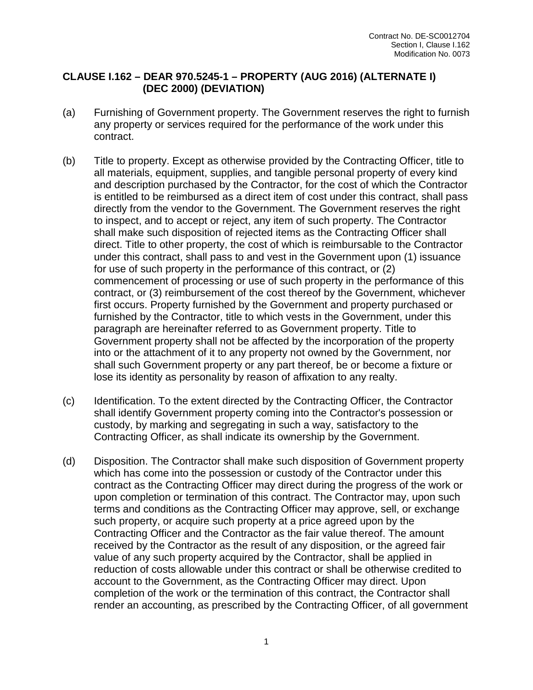#### **CLAUSE I.162 – DEAR 970.5245-1 – PROPERTY (AUG 2016) (ALTERNATE I) (DEC 2000) (DEVIATION)**

- (a) Furnishing of Government property. The Government reserves the right to furnish any property or services required for the performance of the work under this contract.
- (b) Title to property. Except as otherwise provided by the Contracting Officer, title to all materials, equipment, supplies, and tangible personal property of every kind and description purchased by the Contractor, for the cost of which the Contractor is entitled to be reimbursed as a direct item of cost under this contract, shall pass directly from the vendor to the Government. The Government reserves the right to inspect, and to accept or reject, any item of such property. The Contractor shall make such disposition of rejected items as the Contracting Officer shall direct. Title to other property, the cost of which is reimbursable to the Contractor under this contract, shall pass to and vest in the Government upon (1) issuance for use of such property in the performance of this contract, or (2) commencement of processing or use of such property in the performance of this contract, or (3) reimbursement of the cost thereof by the Government, whichever first occurs. Property furnished by the Government and property purchased or furnished by the Contractor, title to which vests in the Government, under this paragraph are hereinafter referred to as Government property. Title to Government property shall not be affected by the incorporation of the property into or the attachment of it to any property not owned by the Government, nor shall such Government property or any part thereof, be or become a fixture or lose its identity as personality by reason of affixation to any realty.
- (c) Identification. To the extent directed by the Contracting Officer, the Contractor shall identify Government property coming into the Contractor's possession or custody, by marking and segregating in such a way, satisfactory to the Contracting Officer, as shall indicate its ownership by the Government.
- (d) Disposition. The Contractor shall make such disposition of Government property which has come into the possession or custody of the Contractor under this contract as the Contracting Officer may direct during the progress of the work or upon completion or termination of this contract. The Contractor may, upon such terms and conditions as the Contracting Officer may approve, sell, or exchange such property, or acquire such property at a price agreed upon by the Contracting Officer and the Contractor as the fair value thereof. The amount received by the Contractor as the result of any disposition, or the agreed fair value of any such property acquired by the Contractor, shall be applied in reduction of costs allowable under this contract or shall be otherwise credited to account to the Government, as the Contracting Officer may direct. Upon completion of the work or the termination of this contract, the Contractor shall render an accounting, as prescribed by the Contracting Officer, of all government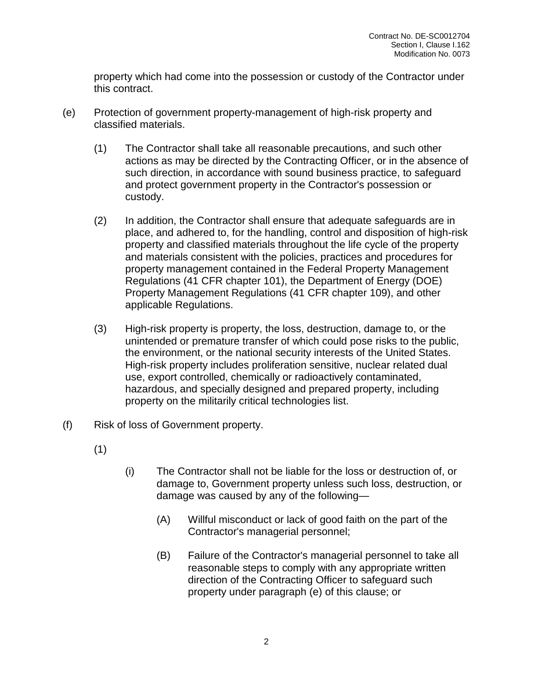property which had come into the possession or custody of the Contractor under this contract.

- (e) Protection of government property-management of high-risk property and classified materials.
	- (1) The Contractor shall take all reasonable precautions, and such other actions as may be directed by the Contracting Officer, or in the absence of such direction, in accordance with sound business practice, to safeguard and protect government property in the Contractor's possession or custody.
	- (2) In addition, the Contractor shall ensure that adequate safeguards are in place, and adhered to, for the handling, control and disposition of high-risk property and classified materials throughout the life cycle of the property and materials consistent with the policies, practices and procedures for property management contained in the Federal Property Management Regulations (41 CFR chapter 101), the Department of Energy (DOE) Property Management Regulations (41 CFR chapter 109), and other applicable Regulations.
	- (3) High-risk property is property, the loss, destruction, damage to, or the unintended or premature transfer of which could pose risks to the public, the environment, or the national security interests of the United States. High-risk property includes proliferation sensitive, nuclear related dual use, export controlled, chemically or radioactively contaminated, hazardous, and specially designed and prepared property, including property on the militarily critical technologies list.
- (f) Risk of loss of Government property.
	- (1)
- (i) The Contractor shall not be liable for the loss or destruction of, or damage to, Government property unless such loss, destruction, or damage was caused by any of the following—
	- (A) Willful misconduct or lack of good faith on the part of the Contractor's managerial personnel;
	- (B) Failure of the Contractor's managerial personnel to take all reasonable steps to comply with any appropriate written direction of the Contracting Officer to safeguard such property under paragraph (e) of this clause; or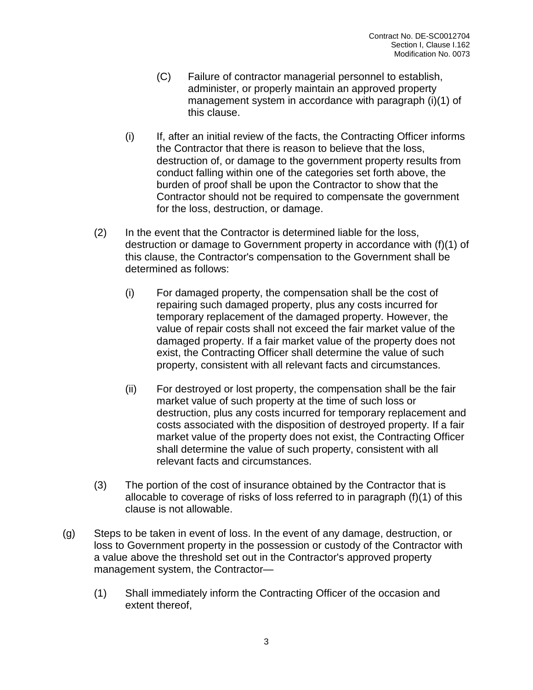- (C) Failure of contractor managerial personnel to establish, administer, or properly maintain an approved property management system in accordance with paragraph (i)(1) of this clause.
- (i) If, after an initial review of the facts, the Contracting Officer informs the Contractor that there is reason to believe that the loss, destruction of, or damage to the government property results from conduct falling within one of the categories set forth above, the burden of proof shall be upon the Contractor to show that the Contractor should not be required to compensate the government for the loss, destruction, or damage.
- (2) In the event that the Contractor is determined liable for the loss, destruction or damage to Government property in accordance with (f)(1) of this clause, the Contractor's compensation to the Government shall be determined as follows:
	- (i) For damaged property, the compensation shall be the cost of repairing such damaged property, plus any costs incurred for temporary replacement of the damaged property. However, the value of repair costs shall not exceed the fair market value of the damaged property. If a fair market value of the property does not exist, the Contracting Officer shall determine the value of such property, consistent with all relevant facts and circumstances.
	- (ii) For destroyed or lost property, the compensation shall be the fair market value of such property at the time of such loss or destruction, plus any costs incurred for temporary replacement and costs associated with the disposition of destroyed property. If a fair market value of the property does not exist, the Contracting Officer shall determine the value of such property, consistent with all relevant facts and circumstances.
- (3) The portion of the cost of insurance obtained by the Contractor that is allocable to coverage of risks of loss referred to in paragraph (f)(1) of this clause is not allowable.
- (g) Steps to be taken in event of loss. In the event of any damage, destruction, or loss to Government property in the possession or custody of the Contractor with a value above the threshold set out in the Contractor's approved property management system, the Contractor—
	- (1) Shall immediately inform the Contracting Officer of the occasion and extent thereof,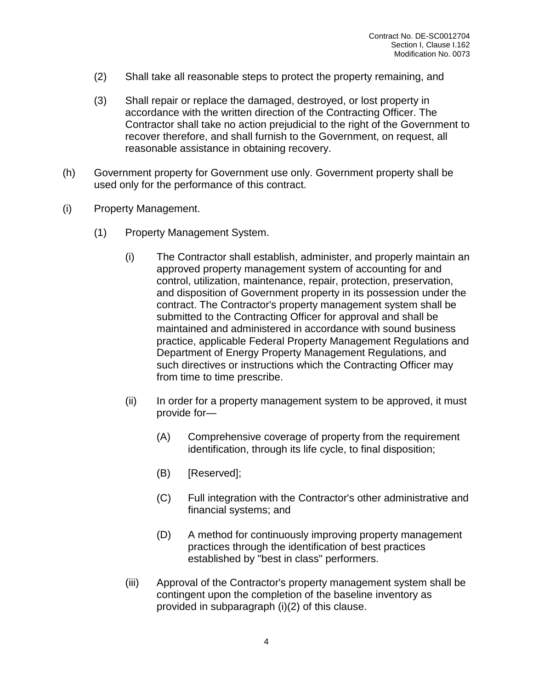- (2) Shall take all reasonable steps to protect the property remaining, and
- (3) Shall repair or replace the damaged, destroyed, or lost property in accordance with the written direction of the Contracting Officer. The Contractor shall take no action prejudicial to the right of the Government to recover therefore, and shall furnish to the Government, on request, all reasonable assistance in obtaining recovery.
- (h) Government property for Government use only. Government property shall be used only for the performance of this contract.
- (i) Property Management.
	- (1) Property Management System.
		- (i) The Contractor shall establish, administer, and properly maintain an approved property management system of accounting for and control, utilization, maintenance, repair, protection, preservation, and disposition of Government property in its possession under the contract. The Contractor's property management system shall be submitted to the Contracting Officer for approval and shall be maintained and administered in accordance with sound business practice, applicable Federal Property Management Regulations and Department of Energy Property Management Regulations, and such directives or instructions which the Contracting Officer may from time to time prescribe.
		- (ii) In order for a property management system to be approved, it must provide for—
			- (A) Comprehensive coverage of property from the requirement identification, through its life cycle, to final disposition;
			- (B) [Reserved];
			- (C) Full integration with the Contractor's other administrative and financial systems; and
			- (D) A method for continuously improving property management practices through the identification of best practices established by "best in class" performers.
		- (iii) Approval of the Contractor's property management system shall be contingent upon the completion of the baseline inventory as provided in subparagraph (i)(2) of this clause.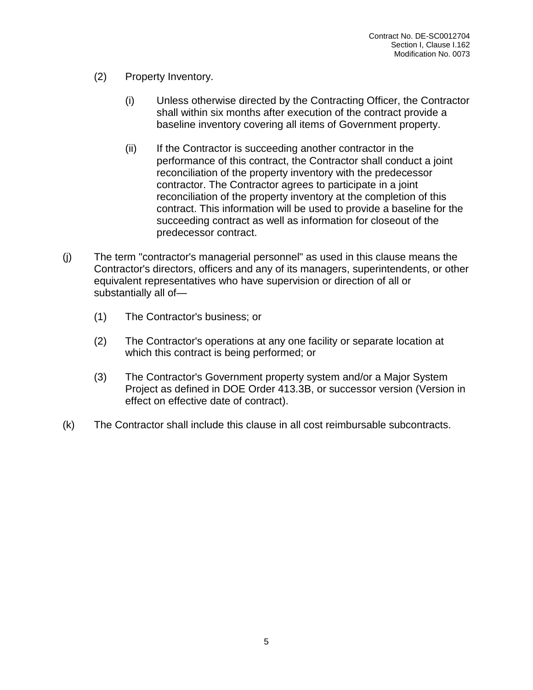- (2) Property Inventory.
	- (i) Unless otherwise directed by the Contracting Officer, the Contractor shall within six months after execution of the contract provide a baseline inventory covering all items of Government property.
	- (ii) If the Contractor is succeeding another contractor in the performance of this contract, the Contractor shall conduct a joint reconciliation of the property inventory with the predecessor contractor. The Contractor agrees to participate in a joint reconciliation of the property inventory at the completion of this contract. This information will be used to provide a baseline for the succeeding contract as well as information for closeout of the predecessor contract.
- (j) The term "contractor's managerial personnel" as used in this clause means the Contractor's directors, officers and any of its managers, superintendents, or other equivalent representatives who have supervision or direction of all or substantially all of—
	- (1) The Contractor's business; or
	- (2) The Contractor's operations at any one facility or separate location at which this contract is being performed; or
	- (3) The Contractor's Government property system and/or a Major System Project as defined in DOE Order 413.3B, or successor version (Version in effect on effective date of contract).
- (k) The Contractor shall include this clause in all cost reimbursable subcontracts.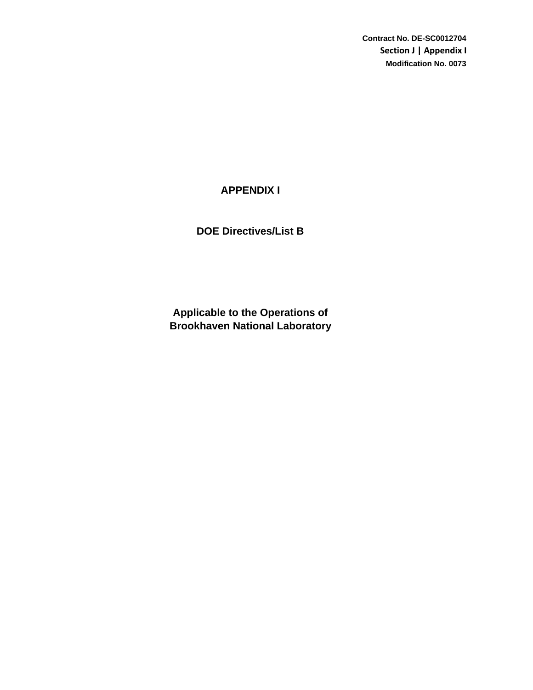**Contract No. DE-SC0012704 Section J | Appendix I Modification No. 0073**

# **APPENDIX I**

**DOE Directives/List B**

**Brookhaven National Laboratory Applicable to the Operations of**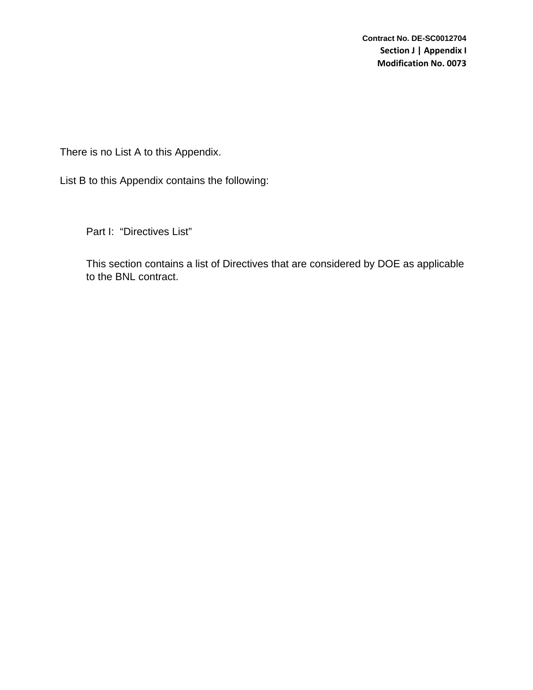There is no List A to this Appendix.

List B to this Appendix contains the following:

Part I: "Directives List"

This section contains a list of Directives that are considered by DOE as applicable to the BNL contract.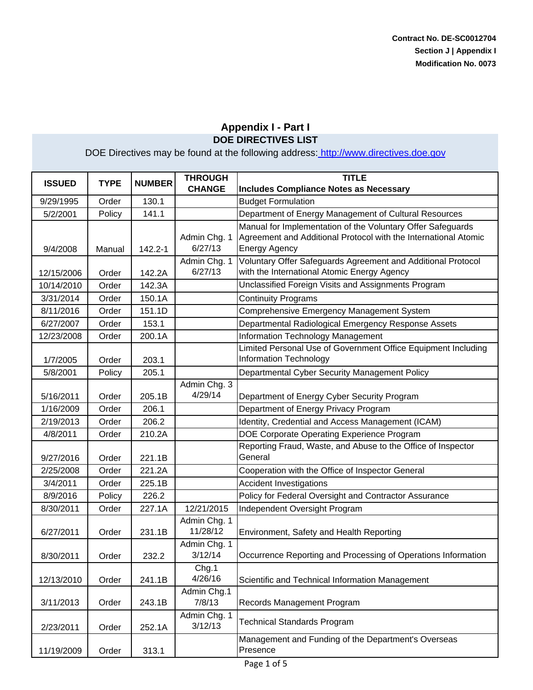| <b>ISSUED</b> | <b>TYPE</b> | <b>NUMBER</b> | <b>THROUGH</b><br><b>CHANGE</b> | <b>TITLE</b><br>Includes Compliance Notes as Necessary                                                                                                 |
|---------------|-------------|---------------|---------------------------------|--------------------------------------------------------------------------------------------------------------------------------------------------------|
| 9/29/1995     | Order       | 130.1         |                                 | <b>Budget Formulation</b>                                                                                                                              |
| 5/2/2001      | Policy      | 141.1         |                                 | Department of Energy Management of Cultural Resources                                                                                                  |
| 9/4/2008      | Manual      | 142.2-1       | Admin Chg. 1<br>6/27/13         | Manual for Implementation of the Voluntary Offer Safeguards<br>Agreement and Additional Protocol with the International Atomic<br><b>Energy Agency</b> |
| 12/15/2006    | Order       | 142.2A        | Admin Chg. 1<br>6/27/13         | Voluntary Offer Safeguards Agreement and Additional Protocol<br>with the International Atomic Energy Agency                                            |
| 10/14/2010    | Order       | 142.3A        |                                 | Unclassified Foreign Visits and Assignments Program                                                                                                    |
| 3/31/2014     | Order       | 150.1A        |                                 | <b>Continuity Programs</b>                                                                                                                             |
| 8/11/2016     | Order       | 151.1D        |                                 | Comprehensive Emergency Management System                                                                                                              |
| 6/27/2007     | Order       | 153.1         |                                 | Departmental Radiological Emergency Response Assets                                                                                                    |
| 12/23/2008    | Order       | 200.1A        |                                 | Information Technology Management                                                                                                                      |
| 1/7/2005      | Order       | 203.1         |                                 | Limited Personal Use of Government Office Equipment Including<br><b>Information Technology</b>                                                         |
| 5/8/2001      | Policy      | 205.1         |                                 | Departmental Cyber Security Management Policy                                                                                                          |
| 5/16/2011     | Order       | 205.1B        | Admin Chg. 3<br>4/29/14         | Department of Energy Cyber Security Program                                                                                                            |
| 1/16/2009     | Order       | 206.1         |                                 | Department of Energy Privacy Program                                                                                                                   |
| 2/19/2013     | Order       | 206.2         |                                 | Identity, Credential and Access Management (ICAM)                                                                                                      |
| 4/8/2011      | Order       | 210.2A        |                                 | DOE Corporate Operating Experience Program                                                                                                             |
| 9/27/2016     | Order       | 221.1B        |                                 | Reporting Fraud, Waste, and Abuse to the Office of Inspector<br>General                                                                                |
| 2/25/2008     | Order       | 221.2A        |                                 | Cooperation with the Office of Inspector General                                                                                                       |
| 3/4/2011      | Order       | 225.1B        |                                 | <b>Accident Investigations</b>                                                                                                                         |
| 8/9/2016      | Policy      | 226.2         |                                 | Policy for Federal Oversight and Contractor Assurance                                                                                                  |
| 8/30/2011     | Order       | 227.1A        | 12/21/2015                      | Independent Oversight Program                                                                                                                          |
| 6/27/2011     | Order       | 231.1B        | Admin Chg. 1<br>11/28/12        | Environment, Safety and Health Reporting                                                                                                               |
| 8/30/2011     | Order       | 232.2         | Admin Chg. 1<br>3/12/14         | Occurrence Reporting and Processing of Operations Information                                                                                          |
| 12/13/2010    | Order       | 241.1B        | Chg.1<br>4/26/16                | Scientific and Technical Information Management                                                                                                        |
| 3/11/2013     | Order       | 243.1B        | Admin Chg.1<br>7/8/13           | Records Management Program                                                                                                                             |
| 2/23/2011     | Order       | 252.1A        | Admin Chg. 1<br>3/12/13         | <b>Technical Standards Program</b>                                                                                                                     |
| 11/19/2009    | Order       | 313.1         |                                 | Management and Funding of the Department's Overseas<br>Presence                                                                                        |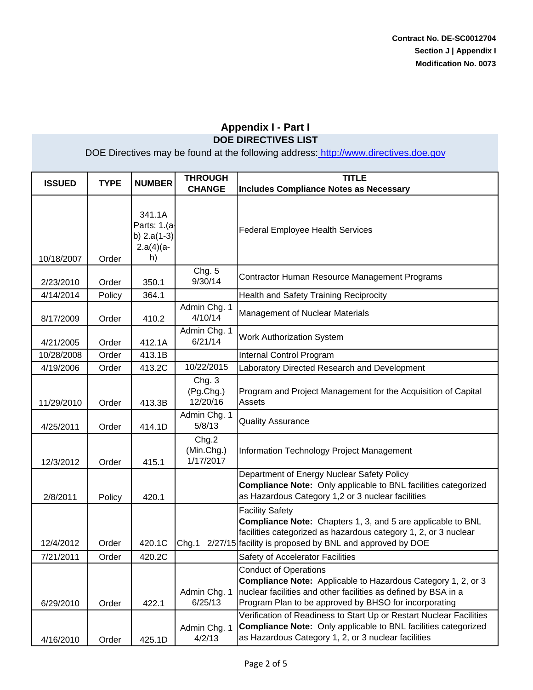| <b>ISSUED</b> | <b>TYPE</b> | <b>NUMBER</b>                                                | <b>THROUGH</b>                   | <b>TITLE</b>                                                                                                                                                                                                                   |
|---------------|-------------|--------------------------------------------------------------|----------------------------------|--------------------------------------------------------------------------------------------------------------------------------------------------------------------------------------------------------------------------------|
|               |             |                                                              | <b>CHANGE</b>                    | <b>Includes Compliance Notes as Necessary</b>                                                                                                                                                                                  |
| 10/18/2007    | Order       | 341.1A<br>Parts: 1.(a-<br>b) $2.a(1-3)$<br>$2.a(4)(a-$<br>h) |                                  | <b>Federal Employee Health Services</b>                                                                                                                                                                                        |
| 2/23/2010     | Order       | 350.1                                                        | Chg. 5<br>9/30/14                | Contractor Human Resource Management Programs                                                                                                                                                                                  |
| 4/14/2014     | Policy      | 364.1                                                        |                                  | <b>Health and Safety Training Reciprocity</b>                                                                                                                                                                                  |
| 8/17/2009     | Order       | 410.2                                                        | Admin Chg. 1<br>4/10/14          | Management of Nuclear Materials                                                                                                                                                                                                |
| 4/21/2005     | Order       | 412.1A                                                       | Admin Chg. 1<br>6/21/14          | Work Authorization System                                                                                                                                                                                                      |
| 10/28/2008    | Order       | 413.1B                                                       |                                  | Internal Control Program                                                                                                                                                                                                       |
| 4/19/2006     | Order       | 413.2C                                                       | 10/22/2015                       | Laboratory Directed Research and Development                                                                                                                                                                                   |
| 11/29/2010    | Order       | 413.3B                                                       | Chg. 3<br>(Pg.Chg.)<br>12/20/16  | Program and Project Management for the Acquisition of Capital<br>Assets                                                                                                                                                        |
| 4/25/2011     | Order       | 414.1D                                                       | Admin Chg. 1<br>5/8/13           | <b>Quality Assurance</b>                                                                                                                                                                                                       |
| 12/3/2012     | Order       | 415.1                                                        | Chg.2<br>(Min.Chg.)<br>1/17/2017 | Information Technology Project Management                                                                                                                                                                                      |
| 2/8/2011      | Policy      | 420.1                                                        |                                  | Department of Energy Nuclear Safety Policy<br><b>Compliance Note:</b> Only applicable to BNL facilities categorized<br>as Hazardous Category 1,2 or 3 nuclear facilities                                                       |
| 12/4/2012     | Order       | 420.1C                                                       | Chg.1                            | <b>Facility Safety</b><br><b>Compliance Note:</b> Chapters 1, 3, and 5 are applicable to BNL<br>facilities categorized as hazardous category 1, 2, or 3 nuclear<br>2/27/15 facility is proposed by BNL and approved by DOE     |
| 7/21/2011     | Order       | 420.2C                                                       |                                  | Safety of Accelerator Facilities                                                                                                                                                                                               |
| 6/29/2010     | Order       | 422.1                                                        | Admin Chg. 1<br>6/25/13          | <b>Conduct of Operations</b><br><b>Compliance Note:</b> Applicable to Hazardous Category 1, 2, or 3<br>nuclear facilities and other facilities as defined by BSA in a<br>Program Plan to be approved by BHSO for incorporating |
| 4/16/2010     | Order       | 425.1D                                                       | Admin Chg. 1<br>4/2/13           | Verification of Readiness to Start Up or Restart Nuclear Facilities<br><b>Compliance Note:</b> Only applicable to BNL facilities categorized<br>as Hazardous Category 1, 2, or 3 nuclear facilities                            |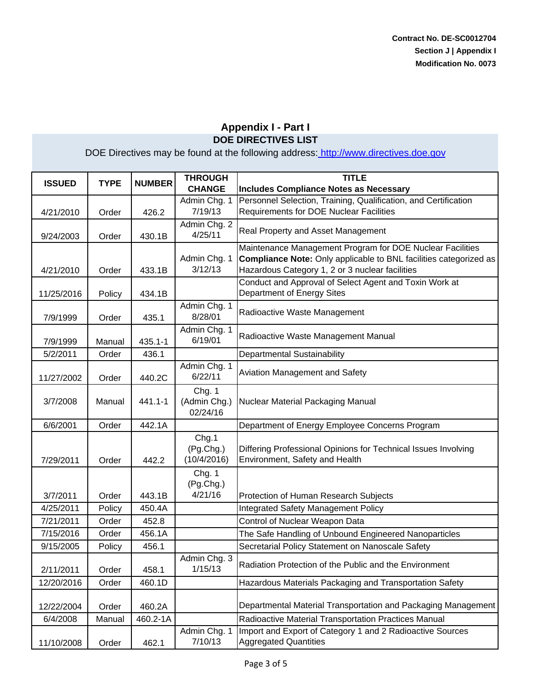| <b>ISSUED</b> | <b>TYPE</b> | <b>NUMBER</b> | <b>THROUGH</b><br><b>CHANGE</b>    | <b>TITLE</b><br><b>Includes Compliance Notes as Necessary</b>                                                                                                                            |
|---------------|-------------|---------------|------------------------------------|------------------------------------------------------------------------------------------------------------------------------------------------------------------------------------------|
|               |             |               | Admin Chg. 1                       | Personnel Selection, Training, Qualification, and Certification                                                                                                                          |
| 4/21/2010     | Order       | 426.2         | 7/19/13                            | Requirements for DOE Nuclear Facilities                                                                                                                                                  |
| 9/24/2003     | Order       | 430.1B        | Admin Chg. 2<br>4/25/11            | Real Property and Asset Management                                                                                                                                                       |
| 4/21/2010     | Order       | 433.1B        | Admin Chg. 1<br>3/12/13            | Maintenance Management Program for DOE Nuclear Facilities<br><b>Compliance Note:</b> Only applicable to BNL facilities categorized as<br>Hazardous Category 1, 2 or 3 nuclear facilities |
| 11/25/2016    | Policy      | 434.1B        |                                    | Conduct and Approval of Select Agent and Toxin Work at<br>Department of Energy Sites                                                                                                     |
| 7/9/1999      | Order       | 435.1         | Admin Chg. 1<br>8/28/01            | Radioactive Waste Management                                                                                                                                                             |
| 7/9/1999      | Manual      | 435.1-1       | Admin Chg. 1<br>6/19/01            | Radioactive Waste Management Manual                                                                                                                                                      |
| 5/2/2011      | Order       | 436.1         |                                    | Departmental Sustainability                                                                                                                                                              |
| 11/27/2002    | Order       | 440.2C        | Admin Chg. 1<br>6/22/11            | Aviation Management and Safety                                                                                                                                                           |
| 3/7/2008      | Manual      | 441.1-1       | Chg. 1<br>(Admin Chg.)<br>02/24/16 | Nuclear Material Packaging Manual                                                                                                                                                        |
| 6/6/2001      | Order       | 442.1A        |                                    | Department of Energy Employee Concerns Program                                                                                                                                           |
| 7/29/2011     | Order       | 442.2         | Chg.1<br>(Pg.Chg.)<br>(10/4/2016)  | Differing Professional Opinions for Technical Issues Involving<br>Environment, Safety and Health                                                                                         |
| 3/7/2011      | Order       | 443.1B        | Chg. 1<br>(Pg.Chg.)<br>4/21/16     | Protection of Human Research Subjects                                                                                                                                                    |
| 4/25/2011     | Policy      | 450.4A        |                                    | <b>Integrated Safety Management Policy</b>                                                                                                                                               |
| 7/21/2011     | Order       | 452.8         |                                    | Control of Nuclear Weapon Data                                                                                                                                                           |
| 7/15/2016     | Order       | 456.1A        |                                    | The Safe Handling of Unbound Engineered Nanoparticles                                                                                                                                    |
| 9/15/2005     | Policy      | 456.1         |                                    | Secretarial Policy Statement on Nanoscale Safety                                                                                                                                         |
| 2/11/2011     | Order       | 458.1         | Admin Chg. 3<br>1/15/13            | Radiation Protection of the Public and the Environment                                                                                                                                   |
| 12/20/2016    | Order       | 460.1D        |                                    | Hazardous Materials Packaging and Transportation Safety                                                                                                                                  |
| 12/22/2004    | Order       | 460.2A        |                                    | Departmental Material Transportation and Packaging Management                                                                                                                            |
| 6/4/2008      | Manual      | 460.2-1A      |                                    | Radioactive Material Transportation Practices Manual                                                                                                                                     |
| 11/10/2008    | Order       | 462.1         | Admin Chg. 1<br>7/10/13            | Import and Export of Category 1 and 2 Radioactive Sources<br><b>Aggregated Quantities</b>                                                                                                |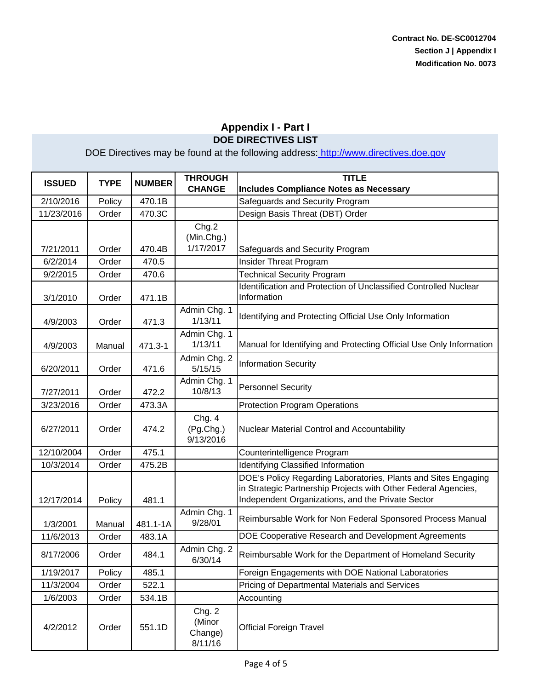| <b>ISSUED</b> | <b>TYPE</b> | <b>NUMBER</b> | <b>THROUGH</b><br><b>CHANGE</b>        | <b>TITLE</b><br><b>Includes Compliance Notes as Necessary</b>                                                                                                                         |
|---------------|-------------|---------------|----------------------------------------|---------------------------------------------------------------------------------------------------------------------------------------------------------------------------------------|
| 2/10/2016     | Policy      | 470.1B        |                                        | Safeguards and Security Program                                                                                                                                                       |
| 11/23/2016    | Order       | 470.3C        |                                        | Design Basis Threat (DBT) Order                                                                                                                                                       |
|               |             |               | Chg.2                                  |                                                                                                                                                                                       |
|               |             |               | (Min.Chg.)                             |                                                                                                                                                                                       |
| 7/21/2011     | Order       | 470.4B        | 1/17/2017                              | Safeguards and Security Program                                                                                                                                                       |
| 6/2/2014      | Order       | 470.5         |                                        | Insider Threat Program                                                                                                                                                                |
| 9/2/2015      | Order       | 470.6         |                                        | <b>Technical Security Program</b>                                                                                                                                                     |
| 3/1/2010      | Order       | 471.1B        |                                        | <b>Identification and Protection of Unclassified Controlled Nuclear</b><br>Information                                                                                                |
|               |             |               | Admin Chg. 1                           |                                                                                                                                                                                       |
| 4/9/2003      | Order       | 471.3         | 1/13/11                                | Identifying and Protecting Official Use Only Information                                                                                                                              |
|               |             |               | Admin Chg. 1                           |                                                                                                                                                                                       |
| 4/9/2003      | Manual      | 471.3-1       | 1/13/11                                | Manual for Identifying and Protecting Official Use Only Information                                                                                                                   |
| 6/20/2011     | Order       | 471.6         | Admin Chg. 2<br>5/15/15                | <b>Information Security</b>                                                                                                                                                           |
| 7/27/2011     | Order       | 472.2         | Admin Chg. 1<br>10/8/13                | <b>Personnel Security</b>                                                                                                                                                             |
| 3/23/2016     | Order       | 473.3A        |                                        | <b>Protection Program Operations</b>                                                                                                                                                  |
| 6/27/2011     | Order       | 474.2         | Chg. 4<br>(Pg.Chg.)<br>9/13/2016       | Nuclear Material Control and Accountability                                                                                                                                           |
| 12/10/2004    | Order       | 475.1         |                                        | Counterintelligence Program                                                                                                                                                           |
| 10/3/2014     | Order       | 475.2B        |                                        | Identifying Classified Information                                                                                                                                                    |
| 12/17/2014    | Policy      | 481.1         |                                        | DOE's Policy Regarding Laboratories, Plants and Sites Engaging<br>in Strategic Partnership Projects with Other Federal Agencies,<br>Independent Organizations, and the Private Sector |
| 1/3/2001      | Manual      | 481.1-1A      | Admin Chg. 1<br>9/28/01                | Reimbursable Work for Non Federal Sponsored Process Manual                                                                                                                            |
| 11/6/2013     | Order       | 483.1A        |                                        | DOE Cooperative Research and Development Agreements                                                                                                                                   |
| 8/17/2006     | Order       | 484.1         | Admin Chg. 2<br>6/30/14                | Reimbursable Work for the Department of Homeland Security                                                                                                                             |
| 1/19/2017     | Policy      | 485.1         |                                        | Foreign Engagements with DOE National Laboratories                                                                                                                                    |
| 11/3/2004     | Order       | 522.1         |                                        | Pricing of Departmental Materials and Services                                                                                                                                        |
| 1/6/2003      | Order       | 534.1B        |                                        | Accounting                                                                                                                                                                            |
| 4/2/2012      | Order       | 551.1D        | Chg. 2<br>(Minor<br>Change)<br>8/11/16 | <b>Official Foreign Travel</b>                                                                                                                                                        |